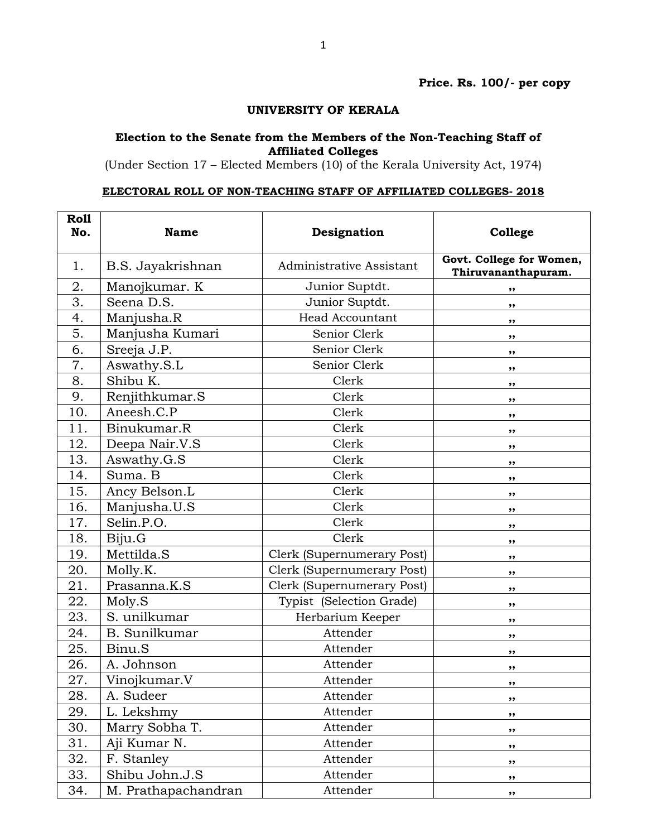## **UNIVERSITY OF KERALA**

## **Election to the Senate from the Members of the Non-Teaching Staff of Affiliated Colleges**

(Under Section 17 – Elected Members (10) of the Kerala University Act, 1974)

## **ELECTORAL ROLL OF NON-TEACHING STAFF OF AFFILIATED COLLEGES- 2018**

| Roll<br>No. | <b>Name</b>          | Designation                | College                                         |
|-------------|----------------------|----------------------------|-------------------------------------------------|
| 1.          | B.S. Jayakrishnan    | Administrative Assistant   | Govt. College for Women,<br>Thiruvananthapuram. |
| 2.          | Manojkumar. K        | Junior Suptdt.             | ,,                                              |
| 3.          | Seena D.S.           | Junior Suptdt.             | ,,                                              |
| 4.          | Manjusha.R           | <b>Head Accountant</b>     | ,,                                              |
| 5.          | Manjusha Kumari      | Senior Clerk               | ,,                                              |
| 6.          | Sreeja J.P.          | Senior Clerk               | ,,                                              |
| 7.          | Aswathy.S.L          | Senior Clerk               | ,,                                              |
| 8.          | Shibu K.             | Clerk                      | ,,                                              |
| 9.          | Renjithkumar.S       | Clerk                      | ,,                                              |
| 10.         | Aneesh.C.P           | Clerk                      | ,,                                              |
| 11.         | Binukumar.R          | Clerk                      | ,,                                              |
| 12.         | Deepa Nair.V.S       | Clerk                      | ,,                                              |
| 13.         | Aswathy.G.S          | Clerk                      | ,,                                              |
| 14.         | Suma. B              | Clerk                      | ,,                                              |
| 15.         | Ancy Belson.L        | Clerk                      | ,,                                              |
| 16.         | Manjusha.U.S         | Clerk                      | ,,                                              |
| 17.         | Selin.P.O.           | Clerk                      | ,,                                              |
| 18.         | Biju.G               | Clerk                      | ,,                                              |
| 19.         | Mettilda.S           | Clerk (Supernumerary Post) | ,,                                              |
| 20.         | Molly.K.             | Clerk (Supernumerary Post) | ,,                                              |
| 21.         | Prasanna.K.S         | Clerk (Supernumerary Post) | ,,                                              |
| 22.         | Moly.S               | Typist (Selection Grade)   | ,,                                              |
| 23.         | S. unilkumar         | Herbarium Keeper           | ,,                                              |
| 24.         | <b>B.</b> Sunilkumar | Attender                   | ,,                                              |
| 25.         | Binu.S               | Attender                   | ,,                                              |
| 26.         | A. Johnson           | Attender                   | ,,                                              |
| 27.         | Vinojkumar.V         | Attender                   | ,,                                              |
| 28.         | A. Sudeer            | Attender                   | ,,                                              |
| 29.         | L. Lekshmy           | Attender                   | ,,                                              |
| 30.         | Marry Sobha T.       | Attender                   | ,,                                              |
| 31.         | Aji Kumar N.         | Attender                   | ,,                                              |
| 32.         | F. Stanley           | Attender                   | ,,                                              |
| 33.         | Shibu John.J.S       | Attender                   | ,,                                              |
| 34.         | M. Prathapachandran  | Attender                   | $, \,$                                          |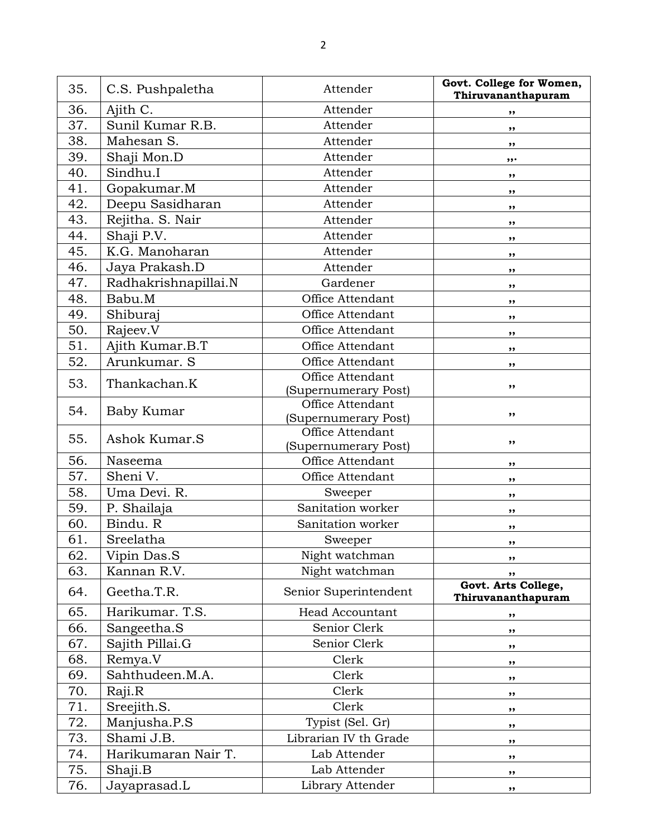| 35. | C.S. Pushpaletha     | Attender                                 | Govt. College for Women,<br>Thiruvananthapuram |
|-----|----------------------|------------------------------------------|------------------------------------------------|
| 36. | Ajith C.             | Attender                                 | ,,                                             |
| 37. | Sunil Kumar R.B.     | Attender                                 | ,,                                             |
| 38. | Mahesan S.           | Attender                                 | ,,                                             |
| 39. | Shaji Mon.D          | Attender                                 | ,,,                                            |
| 40. | Sindhu.I             | Attender                                 | ,,                                             |
| 41. | Gopakumar.M          | Attender                                 | ,,                                             |
| 42. | Deepu Sasidharan     | Attender                                 | ,,                                             |
| 43. | Rejitha. S. Nair     | Attender                                 | ,,                                             |
| 44. | Shaji P.V.           | Attender                                 | ,,                                             |
| 45. | K.G. Manoharan       | Attender                                 | ,,                                             |
| 46. | Jaya Prakash.D       | Attender                                 | ,,                                             |
| 47. | Radhakrishnapillai.N | Gardener                                 | ,,                                             |
| 48. | Babu.M               | Office Attendant                         | ,,                                             |
| 49. | Shiburaj             | Office Attendant                         | ,,                                             |
| 50. | Rajeev.V             | Office Attendant                         | ,,                                             |
| 51. | Ajith Kumar.B.T      | Office Attendant                         | ,,                                             |
| 52. | Arunkumar. S         | Office Attendant                         | ,,                                             |
| 53. | Thankachan.K         | Office Attendant                         |                                                |
|     |                      | (Supernumerary Post)                     | ,,                                             |
| 54. | Baby Kumar           | Office Attendant                         | ,,                                             |
|     |                      | (Supernumerary Post)<br>Office Attendant |                                                |
| 55. | Ashok Kumar.S        | (Supernumerary Post)                     | ,,                                             |
| 56. | Naseema              | Office Attendant                         | ,,                                             |
| 57. | Sheni V.             | Office Attendant                         | ,,                                             |
| 58. | Uma Devi. R.         | Sweeper                                  | ,,                                             |
| 59. | P. Shailaja          | Sanitation worker                        | ,,                                             |
| 60. | Bindu. R             | Sanitation worker                        | ,,                                             |
| 61. | Sreelatha            | Sweeper                                  | ,,                                             |
| 62. | Vipin Das.S          | Night watchman                           | ,,                                             |
| 63. | Kannan R.V.          | Night watchman                           | ,,                                             |
| 64. | Geetha.T.R.          | Senior Superintendent                    | Govt. Arts College,<br>Thiruvananthapuram      |
| 65. | Harikumar. T.S.      | <b>Head Accountant</b>                   | ,,                                             |
| 66. | Sangeetha.S          | Senior Clerk                             | ,,                                             |
| 67. | Sajith Pillai.G      | Senior Clerk                             | ,,                                             |
| 68. | Remya.V              | Clerk                                    | ,,                                             |
| 69. | Sahthudeen.M.A.      | Clerk                                    | ,,                                             |
| 70. | Raji.R               | Clerk                                    | ,,                                             |
| 71. | Sreejith.S.          | Clerk                                    | ,,                                             |
| 72. | Manjusha.P.S         | Typist (Sel. Gr)                         | ,,                                             |
| 73. | Shami J.B.           | Librarian IV th Grade                    | ,,                                             |
| 74. | Harikumaran Nair T.  | Lab Attender                             | ,,                                             |
| 75. | Shaji.B              | Lab Attender                             | ,,                                             |
| 76. | Jayaprasad.L         | Library Attender                         | ,,                                             |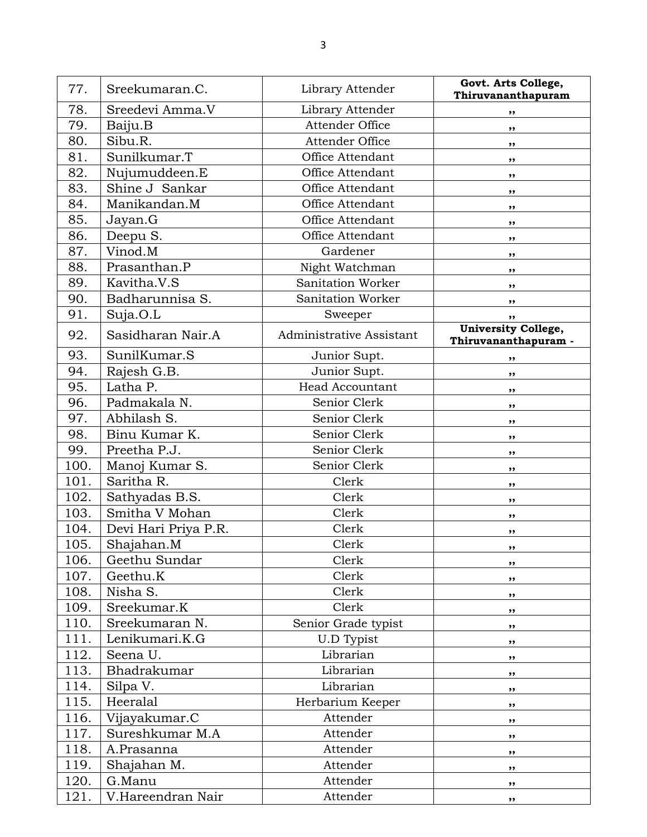| 77.  | Sreekumaran.C.       | Library Attender         | Govt. Arts College,<br>Thiruvananthapuram          |
|------|----------------------|--------------------------|----------------------------------------------------|
| 78.  | Sreedevi Amma.V      | Library Attender         | ,,                                                 |
| 79.  | Baiju.B              | Attender Office          | ,,                                                 |
| 80.  | Sibu.R.              | Attender Office          | ,,                                                 |
| 81.  | Sunilkumar.T         | Office Attendant         | $, \,$                                             |
| 82.  | Nujumuddeen.E        | Office Attendant         | ,,                                                 |
| 83.  | Shine J Sankar       | Office Attendant         | ,,                                                 |
| 84.  | Manikandan.M         | Office Attendant         | ,,                                                 |
| 85.  | Jayan.G              | Office Attendant         | $, \,$                                             |
| 86.  | Deepu S.             | Office Attendant         | ,,                                                 |
| 87.  | Vinod.M              | Gardener                 | $, \,$                                             |
| 88.  | Prasanthan.P         | Night Watchman           | ,,                                                 |
| 89.  | Kavitha.V.S          | Sanitation Worker        | ,,                                                 |
| 90.  | Badharunnisa S.      | Sanitation Worker        | ,,                                                 |
| 91.  | Suja.O.L             | Sweeper                  | ,,                                                 |
| 92.  | Sasidharan Nair.A    | Administrative Assistant | <b>University College,</b><br>Thiruvananthapuram - |
| 93.  | SunilKumar.S         | Junior Supt.             | ,,                                                 |
| 94.  | Rajesh G.B.          | Junior Supt.             | ,,                                                 |
| 95.  | Latha P.             | <b>Head Accountant</b>   | ,,                                                 |
| 96.  | Padmakala N.         | Senior Clerk             | ,,                                                 |
| 97.  | Abhilash S.          | Senior Clerk             | ,,                                                 |
| 98.  | Binu Kumar K.        | Senior Clerk             | ,,                                                 |
| 99.  | Preetha P.J.         | Senior Clerk             | ,,                                                 |
| 100. | Manoj Kumar S.       | Senior Clerk             | ,,                                                 |
| 101. | Saritha R.           | Clerk                    | ,,                                                 |
| 102. | Sathyadas B.S.       | Clerk                    | ,,                                                 |
| 103. | Smitha V Mohan       | Clerk                    | ,,                                                 |
| 104. | Devi Hari Priya P.R. | Clerk                    | ,,                                                 |
| 105. | Shajahan.M           | Clerk                    | $, \bullet$                                        |
| 106. | Geethu Sundar        | Clerk                    | ,,                                                 |
| 107. | Geethu.K             | Clerk                    | ,,                                                 |
| 108. | Nisha S.             | Clerk                    | $, \,$                                             |
| 109. | Sreekumar.K          | Clerk                    | ,,                                                 |
| 110. | Sreekumaran N.       | Senior Grade typist      | ,,                                                 |
| 111. | Lenikumari.K.G       | <b>U.D Typist</b>        | ,,                                                 |
| 112. | Seena U.             | Librarian                | $, \,$                                             |
| 113. | Bhadrakumar          | Librarian                | ,,                                                 |
| 114. | Silpa V.             | Librarian                | ,,                                                 |
| 115. | Heeralal             | Herbarium Keeper         | $, \,$                                             |
| 116. | Vijayakumar.C        | Attender                 | ,,                                                 |
| 117. | Sureshkumar M.A      | Attender                 | ,,                                                 |
| 118. | A.Prasanna           | Attender                 | ,,                                                 |
| 119. | Shajahan M.          | Attender                 | ,,                                                 |
| 120. | G.Manu               | Attender                 | ,,                                                 |
| 121. | V.Hareendran Nair    | Attender                 | ,,                                                 |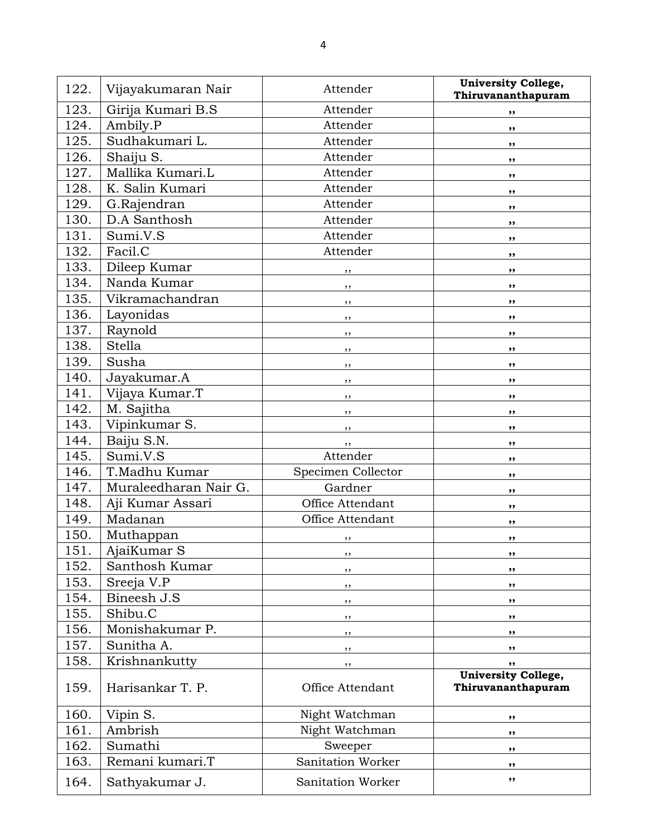| 122. | Vijayakumaran Nair    | Attender           | <b>University College,</b><br>Thiruvananthapuram |
|------|-----------------------|--------------------|--------------------------------------------------|
| 123. | Girija Kumari B.S     | Attender           | ,,                                               |
| 124. | Ambily.P              | Attender           | ,,                                               |
| 125. | Sudhakumari L.        | Attender           | ,,                                               |
| 126. | Shaiju S.             | Attender           | ,,                                               |
| 127. | Mallika Kumari.L      | Attender           | ,,                                               |
| 128. | K. Salin Kumari       | Attender           | ,,                                               |
| 129. | G.Rajendran           | Attender           | ,,                                               |
| 130. | D.A Santhosh          | Attender           | ,,                                               |
| 131. | Sumi.V.S              | Attender           | ,,                                               |
| 132. | Facil.C               | Attender           | ,,                                               |
| 133. | Dileep Kumar          | ,,                 | ,,                                               |
| 134. | Nanda Kumar           | $, \,$             | ,,                                               |
| 135. | Vikramachandran       | $, \,$             | ,,                                               |
| 136. | Layonidas             | $, \,$             | ,,                                               |
| 137. | Raynold               | $, \,$             | ,,                                               |
| 138. | <b>Stella</b>         | , ,                | ,,                                               |
| 139. | Susha                 | $, \,$             | ,,                                               |
| 140. | Jayakumar.A           | ,,                 | ,,                                               |
| 141. | Vijaya Kumar.T        | , ,                | ,,                                               |
| 142. | M. Sajitha            | ,,                 | ,,                                               |
| 143. | Vipinkumar S.         | , ,                | ,,                                               |
| 144. | Baiju S.N.            | , ,                | ,,                                               |
| 145. | Sumi.V.S              | Attender           | ,,                                               |
| 146. | T.Madhu Kumar         | Specimen Collector | ,,                                               |
| 147. | Muraleedharan Nair G. | Gardner            | ,,                                               |
| 148. | Aji Kumar Assari      | Office Attendant   | ,,                                               |
| 149. | Madanan               | Office Attendant   | ,,                                               |
| 150. | Muthappan             | ,,                 | ,,                                               |
| 151. | AjaiKumar S           | ,,                 | ,,                                               |
| 152. | Santhosh Kumar        | ,,                 | ,,                                               |
| 153. | Sreeja V.P            | ,,                 | ,,                                               |
| 154. | Bineesh J.S           | $, \,$             | ,,                                               |
| 155. | Shibu.C               | ,,                 | ,,                                               |
| 156. | Monishakumar P.       | ,,                 | ,,                                               |
| 157. | Sunitha A.            | ,,                 | ,,                                               |
| 158. | Krishnankutty         | ,,                 | ,,                                               |
| 159. | Harisankar T. P.      | Office Attendant   | <b>University College,</b><br>Thiruvananthapuram |
| 160. | Vipin S.              | Night Watchman     | ,,                                               |
| 161. | Ambrish               | Night Watchman     | ,,                                               |
| 162. | Sumathi               | Sweeper            | ,,                                               |
| 163. | Remani kumari.T       | Sanitation Worker  | ,,                                               |
| 164. | Sathyakumar J.        | Sanitation Worker  | ,,                                               |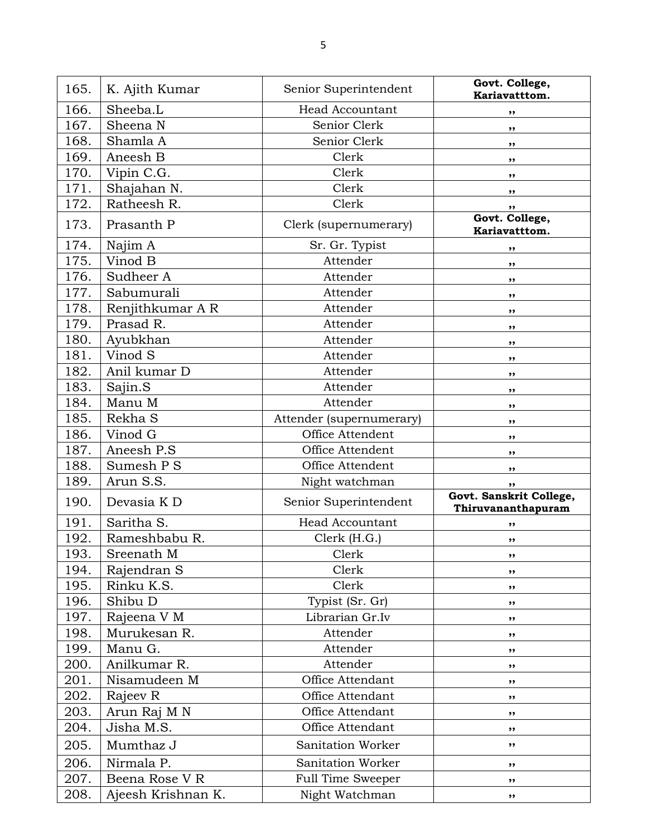| 165. | K. Ajith Kumar     | Senior Superintendent    | Govt. College,<br>Kariavatttom.               |
|------|--------------------|--------------------------|-----------------------------------------------|
| 166. | Sheeba.L           | <b>Head Accountant</b>   | ,,                                            |
| 167. | Sheena N           | Senior Clerk             | ,,                                            |
| 168. | Shamla A           | Senior Clerk             | ,,                                            |
| 169. | Aneesh B           | Clerk                    | $, \,$                                        |
| 170. | Vipin C.G.         | Clerk                    | ,,                                            |
| 171. | Shajahan N.        | Clerk                    | ,,                                            |
| 172. | Ratheesh R.        | Clerk                    | ,,                                            |
| 173. | Prasanth P         | Clerk (supernumerary)    | Govt. College,<br>Kariavatttom.               |
| 174. | Najim A            | Sr. Gr. Typist           | ,,                                            |
| 175. | Vinod B            | Attender                 | ,,                                            |
| 176. | Sudheer A          | Attender                 | $, \,$                                        |
| 177. | Sabumurali         | Attender                 | ,,                                            |
| 178. | Renjithkumar A R   | Attender                 | ,,                                            |
| 179. | Prasad R.          | Attender                 | ,,                                            |
| 180. | Ayubkhan           | Attender                 | ,,                                            |
| 181. | Vinod S            | Attender                 | ,,                                            |
| 182. | Anil kumar D       | Attender                 | ,,                                            |
| 183. | Sajin.S            | Attender                 | ,,                                            |
| 184. | Manu M             | Attender                 | ,,                                            |
| 185. | Rekha S            | Attender (supernumerary) | , ,                                           |
| 186. | Vinod G            | Office Attendent         | ,,                                            |
| 187. | Aneesh P.S         | Office Attendent         | ,,                                            |
| 188. | Sumesh P S         | Office Attendent         | ,,                                            |
| 189. | Arun S.S.          | Night watchman           | ,,                                            |
| 190. | Devasia K D        | Senior Superintendent    | Govt. Sanskrit College,<br>Thiruvananthapuram |
| 191. | Saritha S.         | <b>Head Accountant</b>   | ,,                                            |
| 192. | Rameshbabu R.      | Clerk (H.G.)             | ,,                                            |
| 193. | Sreenath M         | Clerk                    | ,,                                            |
| 194. | Rajendran S        | Clerk                    | ,,                                            |
| 195. | Rinku K.S.         | Clerk                    | ,,                                            |
| 196. | Shibu D            | Typist (Sr. Gr)          | ,,                                            |
| 197. | Rajeena V M        | Librarian Gr.Iv          | ,,                                            |
| 198. | Murukesan R.       | Attender                 | ,,                                            |
| 199. | Manu G.            | Attender                 | ,,                                            |
| 200. | Anilkumar R.       | Attender                 | ,,                                            |
| 201. | Nisamudeen M       | Office Attendant         | ,,                                            |
| 202. | Rajeev R           | Office Attendant         | ,,                                            |
| 203. | Arun Raj M N       | Office Attendant         | ,,                                            |
| 204. | Jisha M.S.         | Office Attendant         | ,,                                            |
| 205. | Mumthaz J          | Sanitation Worker        | ,,                                            |
| 206. | Nirmala P.         | Sanitation Worker        | ,,                                            |
| 207. | Beena Rose V R     | Full Time Sweeper        | ,,                                            |
| 208. | Ajeesh Krishnan K. | Night Watchman           | ,,                                            |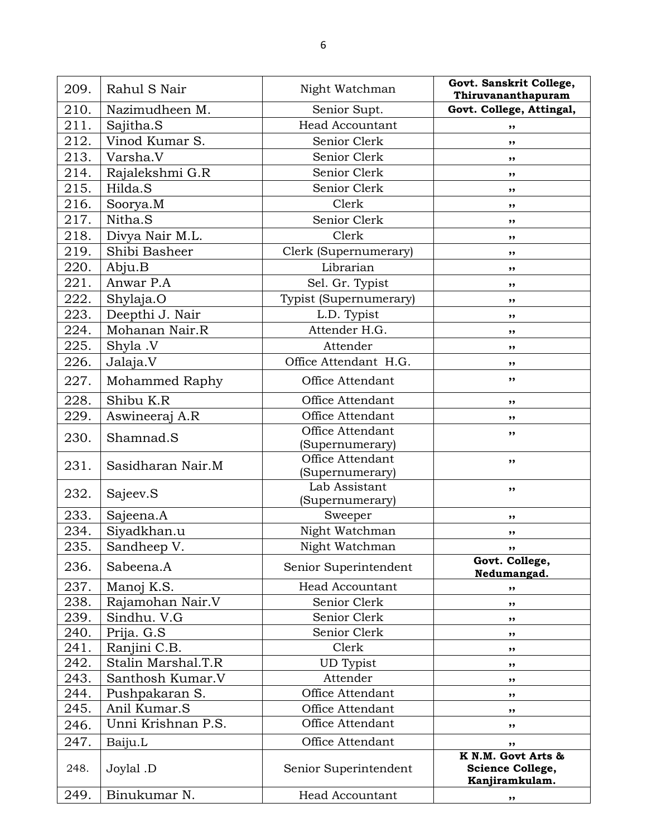| 209. | Rahul S Nair       | Night Watchman                   | Govt. Sanskrit College,<br>Thiruvananthapuram            |
|------|--------------------|----------------------------------|----------------------------------------------------------|
| 210. | Nazimudheen M.     | Senior Supt.                     | Govt. College, Attingal,                                 |
| 211. | Sajitha.S          | <b>Head Accountant</b>           | ,,                                                       |
| 212. | Vinod Kumar S.     | Senior Clerk                     | ,,                                                       |
| 213. | Varsha.V           | Senior Clerk                     | ,,                                                       |
| 214. | Rajalekshmi G.R    | Senior Clerk                     | ,,                                                       |
| 215. | Hilda.S            | Senior Clerk                     | ,,                                                       |
| 216. | Soorya.M           | Clerk                            | ,,                                                       |
| 217. | Nitha.S            | Senior Clerk                     | ,,                                                       |
| 218. | Divya Nair M.L.    | Clerk                            | ,,                                                       |
| 219. | Shibi Basheer      | Clerk (Supernumerary)            | ,,                                                       |
| 220. | Abju.B             | Librarian                        | ,,                                                       |
| 221. | Anwar P.A          | Sel. Gr. Typist                  | ,,                                                       |
| 222. | Shylaja.O          | Typist (Supernumerary)           | ,,                                                       |
| 223. | Deepthi J. Nair    | L.D. Typist                      | ,,                                                       |
| 224. | Mohanan Nair.R     | Attender H.G.                    | ,,                                                       |
| 225. | Shyla .V           | Attender                         | ,,                                                       |
| 226. | Jalaja.V           | Office Attendant H.G.            | ,,                                                       |
| 227. | Mohammed Raphy     | Office Attendant                 | ,,                                                       |
| 228. | Shibu K.R          | Office Attendant                 | ,,                                                       |
| 229. | Aswineeraj A.R     | Office Attendant                 | ,,                                                       |
| 230. | Shamnad.S          | Office Attendant                 | ,,                                                       |
|      |                    | (Supernumerary)                  |                                                          |
| 231. | Sasidharan Nair.M  | Office Attendant                 | ,,                                                       |
|      |                    | (Supernumerary)<br>Lab Assistant |                                                          |
| 232. | Sajeev.S           | (Supernumerary)                  | ,,                                                       |
| 233. | Sajeena.A          | Sweeper                          | ,,                                                       |
| 234. | Siyadkhan.u        | Night Watchman                   | ,,                                                       |
| 235. | Sandheep V.        | Night Watchman                   |                                                          |
| 236. | Sabeena.A          | Senior Superintendent            | Govt. College,<br>Nedumangad.                            |
| 237. | Manoj K.S.         | <b>Head Accountant</b>           | ,,                                                       |
| 238. | Rajamohan Nair.V   | Senior Clerk                     | ,,                                                       |
| 239. | Sindhu. V.G        | Senior Clerk                     | ,,                                                       |
| 240. | Prija. G.S         | Senior Clerk                     | ,,                                                       |
| 241. | Ranjini C.B.       | Clerk                            | ,,                                                       |
| 242. | Stalin Marshal.T.R | <b>UD</b> Typist                 | ,,                                                       |
| 243. | Santhosh Kumar.V   | Attender                         | ,,                                                       |
| 244. | Pushpakaran S.     | Office Attendant                 | ,,                                                       |
| 245. | Anil Kumar.S       | Office Attendant                 | ,,                                                       |
| 246. | Unni Krishnan P.S. | Office Attendant                 | ,,                                                       |
| 247. | Baiju.L            | Office Attendant                 | ,,                                                       |
| 248. | Joylal .D          | Senior Superintendent            | K N.M. Govt Arts &<br>Science College,<br>Kanjiramkulam. |
| 249. | Binukumar N.       | <b>Head Accountant</b>           | ,,                                                       |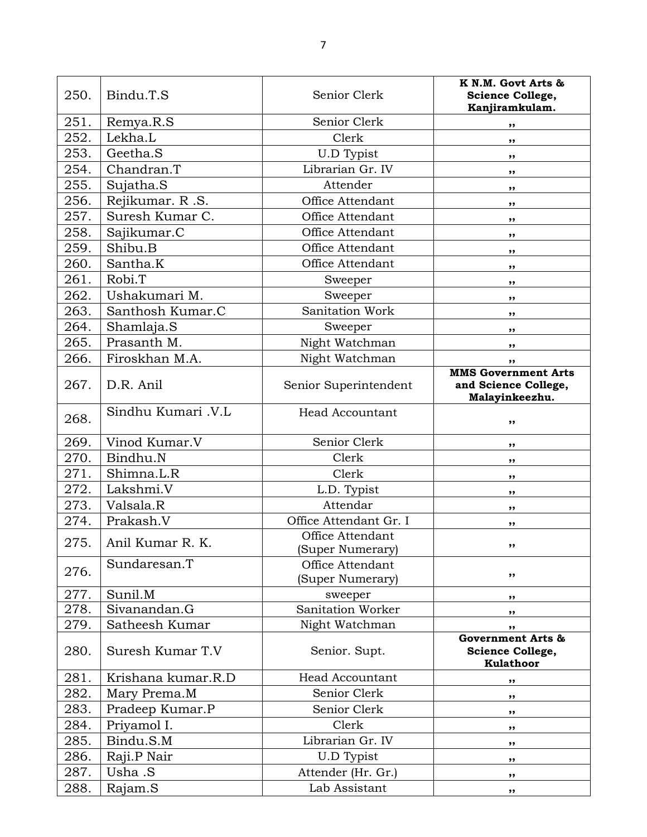| 250. | Bindu.T.S          | Senior Clerk                         | K N.M. Govt Arts &<br>Science College,<br>Kanjiramkulam.             |
|------|--------------------|--------------------------------------|----------------------------------------------------------------------|
| 251. | Remya.R.S          | Senior Clerk                         | ,,                                                                   |
| 252. | Lekha.L            | Clerk                                | ,,                                                                   |
| 253. | Geetha.S           | U.D Typist                           | ,,                                                                   |
| 254. | Chandran.T         | Librarian Gr. IV                     | ,,                                                                   |
| 255. | Sujatha.S          | Attender                             | ,,                                                                   |
| 256. | Rejikumar. R.S.    | Office Attendant                     | ,,                                                                   |
| 257. | Suresh Kumar C.    | Office Attendant                     | ,,                                                                   |
| 258. | Sajikumar.C        | Office Attendant                     | ,,                                                                   |
| 259. | Shibu.B            | Office Attendant                     | ,,                                                                   |
| 260. | Santha.K           | Office Attendant                     | ,,                                                                   |
| 261. | Robi.T             | Sweeper                              | ,,                                                                   |
| 262. | Ushakumari M.      | Sweeper                              | ,,                                                                   |
| 263. | Santhosh Kumar.C   | Sanitation Work                      | ,,                                                                   |
| 264. | Shamlaja.S         | Sweeper                              | ,,                                                                   |
| 265. | Prasanth M.        | Night Watchman                       | ,,                                                                   |
| 266. | Firoskhan M.A.     | Night Watchman                       | ,,                                                                   |
| 267. | D.R. Anil          | Senior Superintendent                | <b>MMS Government Arts</b><br>and Science College,<br>Malayinkeezhu. |
| 268. | Sindhu Kumari .V.L | <b>Head Accountant</b>               | ,,                                                                   |
| 269. | Vinod Kumar.V      | Senior Clerk                         | ,,                                                                   |
| 270. | Bindhu.N           | Clerk                                | ,,                                                                   |
| 271. | Shimna.L.R         | Clerk                                | ,,                                                                   |
| 272. | Lakshmi.V          | L.D. Typist                          | ,,                                                                   |
| 273. | Valsala.R          | Attendar                             | ,,                                                                   |
| 274. | Prakash.V          | Office Attendant Gr. I               | ,,                                                                   |
| 275. | Anil Kumar R. K.   | Office Attendant<br>(Super Numerary) | ,,                                                                   |
| 276. | Sundaresan.T       | Office Attendant<br>(Super Numerary) | ,,                                                                   |
| 277. | Sunil.M            | sweeper                              | ,,                                                                   |
| 278. | Sivanandan.G       | Sanitation Worker                    | ,,                                                                   |
| 279. | Satheesh Kumar     | Night Watchman                       | ,,                                                                   |
| 280. | Suresh Kumar T.V   | Senior. Supt.                        | <b>Government Arts &amp;</b><br>Science College,<br><b>Kulathoor</b> |
| 281. | Krishana kumar.R.D | <b>Head Accountant</b>               | ,,                                                                   |
| 282. | Mary Prema.M       | Senior Clerk                         | ,,                                                                   |
| 283. | Pradeep Kumar.P    | Senior Clerk                         | ,,                                                                   |
| 284. | Priyamol I.        | Clerk                                | ,,                                                                   |
| 285. | Bindu.S.M          | Librarian Gr. IV                     | ,,                                                                   |
| 286. | Raji.P Nair        | U.D Typist                           | ,,                                                                   |
| 287. | Usha .S            | Attender (Hr. Gr.)                   | ,,                                                                   |
| 288. | Rajam.S            | Lab Assistant                        | $, \,$                                                               |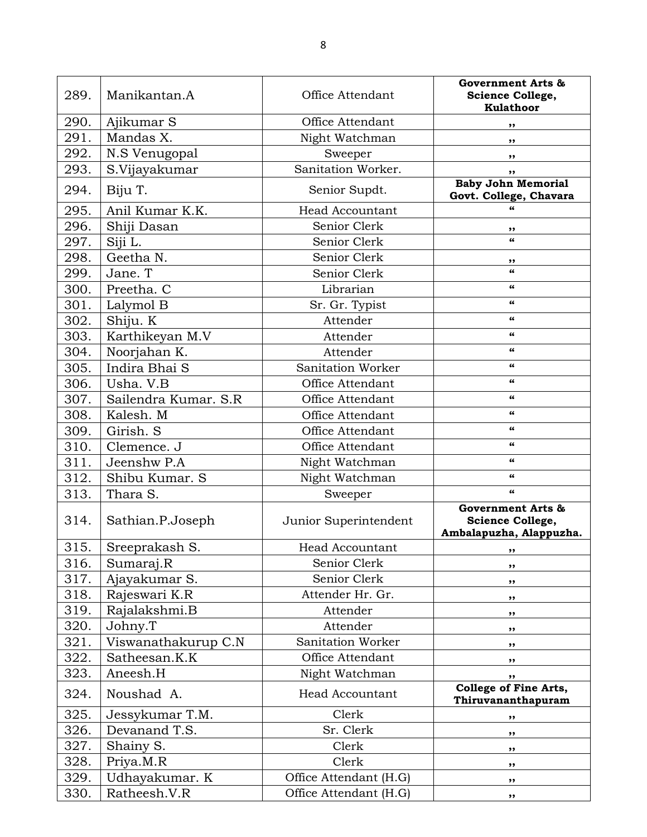| 289. | Manikantan.A         | Office Attendant       | <b>Government Arts &amp;</b><br>Science College,<br>Kulathoor               |
|------|----------------------|------------------------|-----------------------------------------------------------------------------|
| 290. | Ajikumar S           | Office Attendant       | ,,                                                                          |
| 291. | Mandas X.            | Night Watchman         | ,,                                                                          |
| 292. | N.S Venugopal        | Sweeper                | ,,                                                                          |
| 293. | S.Vijayakumar        | Sanitation Worker.     | ,,                                                                          |
| 294. | Biju T.              | Senior Supdt.          | <b>Baby John Memorial</b>                                                   |
|      |                      |                        | Govt. College, Chavara                                                      |
| 295. | Anil Kumar K.K.      | <b>Head Accountant</b> |                                                                             |
| 296. | Shiji Dasan          | Senior Clerk           | ,,                                                                          |
| 297. | Siji L.              | Senior Clerk           | $\epsilon$                                                                  |
| 298. | Geetha N.            | Senior Clerk           | ,,                                                                          |
| 299. | Jane. T              | Senior Clerk           | $\epsilon$                                                                  |
| 300. | Preetha. C           | Librarian              | 66                                                                          |
| 301. | Lalymol B            | Sr. Gr. Typist         | 66                                                                          |
| 302. | Shiju. K             | Attender               | 66                                                                          |
| 303. | Karthikeyan M.V      | Attender               | 66                                                                          |
| 304. | Noorjahan K.         | Attender               | 66                                                                          |
| 305. | Indira Bhai S        | Sanitation Worker      | $\epsilon$                                                                  |
| 306. | Usha. V.B            | Office Attendant       | 66                                                                          |
| 307. | Sailendra Kumar. S.R | Office Attendant       | $\epsilon$                                                                  |
| 308. | Kalesh. M            | Office Attendant       | 66                                                                          |
| 309. | Girish. S            | Office Attendant       | 66                                                                          |
| 310. | Clemence. J          | Office Attendant       | 66                                                                          |
| 311. | Jeenshw P.A          | Night Watchman         | $\epsilon$                                                                  |
| 312. | Shibu Kumar. S       | Night Watchman         | 66                                                                          |
| 313. | Thara S.             | Sweeper                | $\epsilon$                                                                  |
| 314. | Sathian.P.Joseph     | Junior Superintendent  | <b>Government Arts &amp;</b><br>Science College,<br>Ambalapuzha, Alappuzha. |
| 315. | Sreeprakash S.       | Head Accountant        |                                                                             |
| 316. | Sumaraj.R            | Senior Clerk           | ,,                                                                          |
| 317. | Ajayakumar S.        | Senior Clerk           | ,,                                                                          |
| 318. | Rajeswari K.R        | Attender Hr. Gr.       | ,,                                                                          |
| 319. | Rajalakshmi.B        | Attender               | ,,                                                                          |
| 320. | Johny.T              | Attender               | ,,                                                                          |
| 321. | Viswanathakurup C.N  | Sanitation Worker      | ,,                                                                          |
| 322. | Satheesan.K.K        | Office Attendant       | ,,                                                                          |
| 323. | Aneesh.H             | Night Watchman         | ,,                                                                          |
| 324. | Noushad A.           | <b>Head Accountant</b> | <b>College of Fine Arts,</b><br>Thiruvananthapuram                          |
| 325. | Jessykumar T.M.      | Clerk                  | ,,                                                                          |
| 326. | Devanand T.S.        | Sr. Clerk              | ,,                                                                          |
| 327. | Shainy S.            | Clerk                  | ,,                                                                          |
| 328. | Priya.M.R            | Clerk                  | ,,                                                                          |
| 329. | Udhayakumar. K       | Office Attendant (H.G) | ,,                                                                          |
| 330. | Ratheesh.V.R         | Office Attendant (H.G) | $, \,$                                                                      |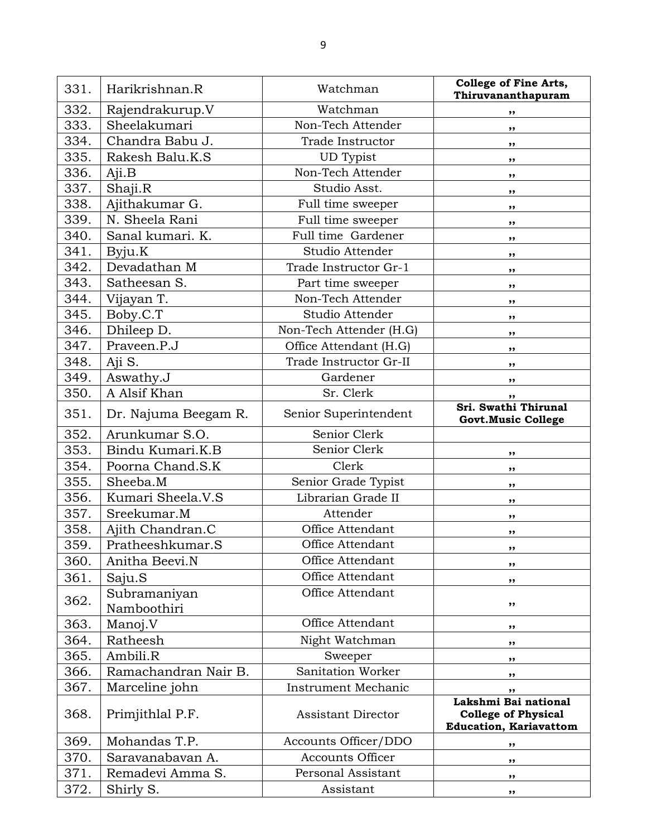| 331. | Harikrishnan.R              | Watchman                  | <b>College of Fine Arts,</b><br>Thiruvananthapuram                                  |
|------|-----------------------------|---------------------------|-------------------------------------------------------------------------------------|
| 332. | Rajendrakurup.V             | Watchman                  | $, \,$                                                                              |
| 333. | Sheelakumari                | Non-Tech Attender         | ,,                                                                                  |
| 334. | Chandra Babu J.             | Trade Instructor          | ,,                                                                                  |
| 335. | Rakesh Balu.K.S             | UD Typist                 | $, \,$                                                                              |
| 336. | Aji.B                       | Non-Tech Attender         | $, \,$                                                                              |
| 337. | Shaji.R                     | Studio Asst.              | $, \,$                                                                              |
| 338. | Ajithakumar G.              | Full time sweeper         | $, \,$                                                                              |
| 339. | N. Sheela Rani              | Full time sweeper         | $, \,$                                                                              |
| 340. | Sanal kumari. K.            | Full time Gardener        | ,,                                                                                  |
| 341. | Byju.K                      | Studio Attender           | $, \,$                                                                              |
| 342. | Devadathan M                | Trade Instructor Gr-1     | ,,                                                                                  |
| 343. | Satheesan S.                | Part time sweeper         | ,,                                                                                  |
| 344. | Vijayan T.                  | Non-Tech Attender         | $, \,$                                                                              |
| 345. | Boby.C.T                    | Studio Attender           | ,,                                                                                  |
| 346. | Dhileep D.                  | Non-Tech Attender (H.G)   | $, \,$                                                                              |
| 347. | Praveen.P.J                 | Office Attendant (H.G)    | $, \,$                                                                              |
| 348. | Aji S.                      | Trade Instructor Gr-II    | $, \,$                                                                              |
| 349. | Aswathy.J                   | Gardener                  | ,,                                                                                  |
| 350. | A Alsif Khan                | Sr. Clerk                 | ,,                                                                                  |
| 351. | Dr. Najuma Beegam R.        | Senior Superintendent     | Sri. Swathi Thirunal<br><b>Govt.Music College</b>                                   |
| 352. | Arunkumar S.O.              | Senior Clerk              |                                                                                     |
| 353. | Bindu Kumari.K.B            | Senior Clerk              | ,,                                                                                  |
| 354. | Poorna Chand.S.K            | Clerk                     | ,,                                                                                  |
| 355. | Sheeba.M                    | Senior Grade Typist       | ,,                                                                                  |
| 356. | Kumari Sheela.V.S           | Librarian Grade II        | $, \,$                                                                              |
| 357. | Sreekumar.M                 | Attender                  | ,,                                                                                  |
| 358. | Ajith Chandran.C            | Office Attendant          | ,,                                                                                  |
| 359  | Pratheeshkumar.S            | Office Attendant          |                                                                                     |
| 360. | Anitha Beevi.N              | Office Attendant          | ,,                                                                                  |
| 361. | Saju.S                      | Office Attendant          | ,,                                                                                  |
| 362. | Subramaniyan<br>Namboothiri | Office Attendant          | $, \,$                                                                              |
| 363. | Manoj.V                     | Office Attendant          | ,,                                                                                  |
| 364. | Ratheesh                    | Night Watchman            | ,,                                                                                  |
| 365. | Ambili.R                    | Sweeper                   | ,,                                                                                  |
| 366. | Ramachandran Nair B.        | Sanitation Worker         | ,,                                                                                  |
| 367. | Marceline john              | Instrument Mechanic       | ,,                                                                                  |
| 368. | Primjithlal P.F.            | <b>Assistant Director</b> | Lakshmi Bai national<br><b>College of Physical</b><br><b>Education, Kariavattom</b> |
| 369. | Mohandas T.P.               | Accounts Officer/DDO      | ,,                                                                                  |
| 370. | Saravanabavan A.            | <b>Accounts Officer</b>   | ,,                                                                                  |
| 371. | Remadevi Amma S.            | Personal Assistant        | $, \,$                                                                              |
| 372. | Shirly S.                   | Assistant                 | $, \,$                                                                              |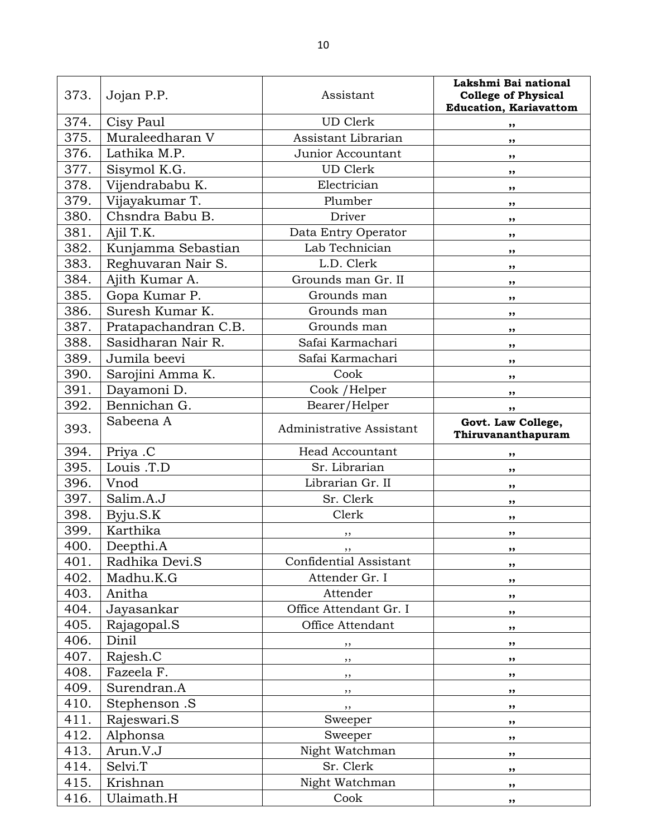| 373. | Jojan P.P.           | Assistant                | Lakshmi Bai national<br><b>College of Physical</b><br><b>Education, Kariavattom</b> |
|------|----------------------|--------------------------|-------------------------------------------------------------------------------------|
| 374. | Cisy Paul            | <b>UD</b> Clerk          | ,,                                                                                  |
| 375. | Muraleedharan V      | Assistant Librarian      | ,,                                                                                  |
| 376. | Lathika M.P.         | Junior Accountant        | ,,                                                                                  |
| 377. | Sisymol K.G.         | <b>UD</b> Clerk          | ,,                                                                                  |
| 378. | Vijendrababu K.      | Electrician              | ,,                                                                                  |
| 379. | Vijayakumar T.       | Plumber                  | ,,                                                                                  |
| 380. | Chsndra Babu B.      | Driver                   | ,,                                                                                  |
| 381. | Ajil T.K.            | Data Entry Operator      | ,,                                                                                  |
| 382. | Kunjamma Sebastian   | Lab Technician           | ,,                                                                                  |
| 383. | Reghuvaran Nair S.   | L.D. Clerk               | ,,                                                                                  |
| 384. | Ajith Kumar A.       | Grounds man Gr. II       | ,,                                                                                  |
| 385. | Gopa Kumar P.        | Grounds man              | ,,                                                                                  |
| 386. | Suresh Kumar K.      | Grounds man              | ,,                                                                                  |
| 387. | Pratapachandran C.B. | Grounds man              | ,,                                                                                  |
| 388. | Sasidharan Nair R.   | Safai Karmachari         | ,,                                                                                  |
| 389. | Jumila beevi         | Safai Karmachari         | ,,                                                                                  |
| 390. | Sarojini Amma K.     | Cook                     | ,,                                                                                  |
| 391. | Dayamoni D.          | Cook / Helper            | ,,                                                                                  |
| 392. | Bennichan G.         | Bearer/Helper            | ,,                                                                                  |
| 393. | Sabeena A            | Administrative Assistant | Govt. Law College,<br>Thiruvananthapuram                                            |
| 394. | Priya .C             | <b>Head Accountant</b>   | ,,                                                                                  |
| 395. | Louis .T.D           | Sr. Librarian            | ,,                                                                                  |
| 396. | Vnod                 | Librarian Gr. II         | ,,                                                                                  |
| 397. | Salim.A.J            | Sr. Clerk                | ,,                                                                                  |
| 398. | Byju.S.K             | Clerk                    | ,,                                                                                  |
| 399. | Karthika             | ,,                       | ,,                                                                                  |
| 400. | Deepthi.A            |                          |                                                                                     |
| 401. | Radhika Devi.S       | Confidential Assistant   | ,,                                                                                  |
| 402. | Madhu.K.G            | Attender Gr. I           | ,,                                                                                  |
| 403. | Anitha               | Attender                 | ,,                                                                                  |
| 404. | Jayasankar           | Office Attendant Gr. I   | ,,                                                                                  |
| 405. | Rajagopal.S          | Office Attendant         | ,,                                                                                  |
| 406. | Dinil                | ,,                       | ,,                                                                                  |
| 407. | Rajesh.C             | $, \,$                   | ,,                                                                                  |
| 408. | Fazeela F.           | $, \,$                   | $, \,$                                                                              |
| 409. | Surendran.A          | $, \, \,$                | ,,                                                                                  |
| 410. | Stephenson .S        | , ,                      | $, \,$                                                                              |
| 411. | Rajeswari.S          | Sweeper                  | ,,                                                                                  |
| 412. | Alphonsa             | Sweeper                  | ,,                                                                                  |
| 413. | Arun.V.J             | Night Watchman           | ,,                                                                                  |
| 414. | Selvi.T              | Sr. Clerk                | $, \,$                                                                              |
| 415. | Krishnan             | Night Watchman           | $, \,$                                                                              |
| 416. | Ulaimath.H           | Cook                     | $\pmb{\mathfrak{H}}$                                                                |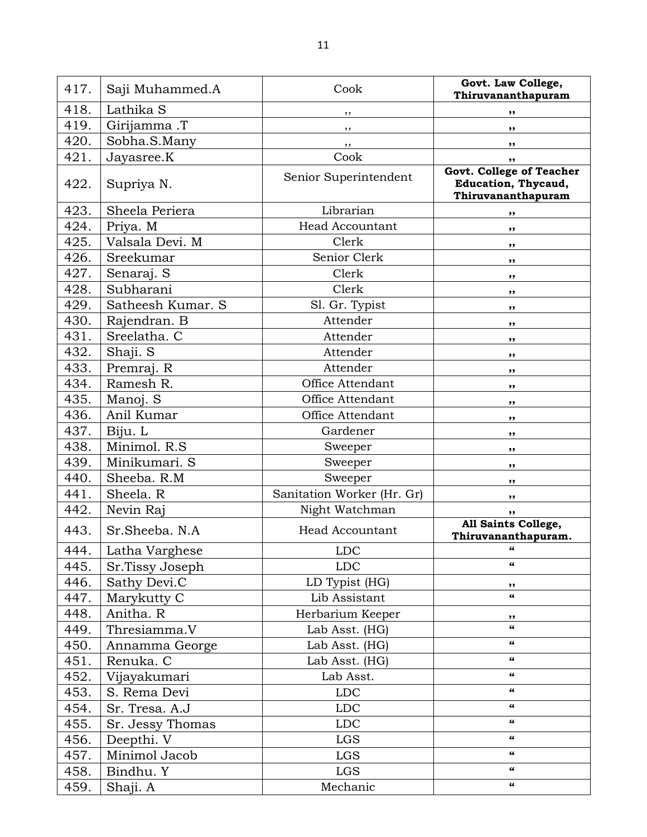417. Saji Muhammed.A Cook **Govt. Law College, Thiruvananthapuram** 418. Lathika S ,, **,,** 419. Girijamma .T ,, **,,** 420. Sobha.S.Many ,, **,,** 421. Jayasree.K Cook **,,** 422. Supriya N. Senior Superintendent **Govt. College of Teacher Education, Thycaud, Thiruvananthapuram** 423. Sheela Periera Librarian **,,** 424. Priya. M **Head Accountant ,** 425. Valsala Devi. M Clerk **,,** 426. Sreekumar Senior Clerk **,,** 427. Senaraj. S Clerk **,,** 428. Subharani Clerk **,,** 429. Satheesh Kumar. S and St. Gr. Typist (St. Gr. Typist St. Gr. Typist St. Gr. Typist St. St. St. Gr. Typist 430. Rajendran. B and the actual series are the series of the series of the series and series are series as  $\lambda$ , 431. Sreelatha. C and a set of the set of the set of the set of the set of the set of the set of the set of the set of the set of the set of the set of the set of the set of the set of the set of the set of the set of the 432. Shaji. S and Shaji. S attender **,**, 433. Premraj. R and **heating a statement of the set of the set of the set of the set of the set of the set of the set of the set of the set of the set of the set of the set of the set of the set of the set of the set of th** 434. Ramesh R. **Communist Communist Communist Communist Communist Communist Communist Communist Communist Communist Communist Communist Communist Communist Communist Communist Communist Communist Communist Communist Commun** 435. Manoj. S Office Attendant **,,** 436. Anil Kumar Office Attendant **,,** 437. Biju. L Gardener **,,** 438. Minimol. R.S **business** Sweeper **,,** 439. | Minikumari. S **and Sweeper ,**, 440. Sheeba. R.M Sweeper **,,** 441. Sheela. R **Sanitation Worker (Hr. Gr) ,,** 442. Nevin Raj **Night Watchman** | ,, 443. Sr.Sheeba. N.A Head Accountant **All Saints College, Thiruvananthapuram.** 444. Latha Varghese LDC **"** 445. Sr.Tissy Joseph LDC **"** 446. Sathy Devi.C LD Typist (HG) **,,** 447. Marykutty C Lib Assistant **"** 448. Anitha. R **Herbarium Keeper** | ,, 449. Thresiamma.V Lab Asst. (HG) **"** 450. Annamma George Lab Asst. (HG) **"** 451. Renuka. C Lab Asst. (HG) **"** 452. Vijayakumari Lab Asst. **"** 453. S. Rema Devi LDC **"** 454. Sr. Tresa. A.J LDC **"** 455. Sr. Jessy Thomas LDC **"** 456. Deepthi. V LGS **"** 457. Minimol Jacob LGS **"** 458. Bindhu. Y LGS **"** 459. Shaji. A Mechanic **"**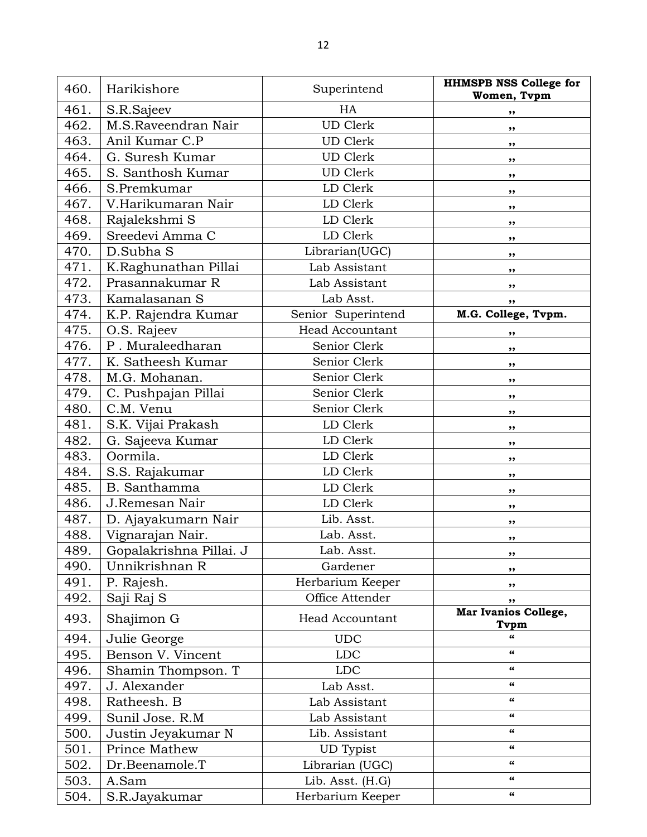| 460. | Harikishore             | Superintend            | <b>HHMSPB NSS College for</b><br>Women, Tvpm |
|------|-------------------------|------------------------|----------------------------------------------|
| 461. | S.R.Sajeev              | HA                     | ,,                                           |
| 462. | M.S.Raveendran Nair     | <b>UD</b> Clerk        | ,,                                           |
| 463. | Anil Kumar C.P          | <b>UD</b> Clerk        | ,,                                           |
| 464. | G. Suresh Kumar         | <b>UD</b> Clerk        |                                              |
| 465. | S. Santhosh Kumar       | <b>UD</b> Clerk        | ,,                                           |
| 466. | S.Premkumar             | LD Clerk               | ,,                                           |
| 467. | V.Harikumaran Nair      | LD Clerk               | ,,                                           |
| 468. | Rajalekshmi S           | LD Clerk               | ,,                                           |
| 469. | Sreedevi Amma C         | LD Clerk               | ,,                                           |
| 470. | D.Subha S               | Librarian(UGC)         | ,,                                           |
| 471. | K.Raghunathan Pillai    | Lab Assistant          | ,,                                           |
| 472. | Prasannakumar R         | Lab Assistant          | ,,                                           |
| 473. | Kamalasanan S           | Lab Asst.              | ,,                                           |
| 474. | K.P. Rajendra Kumar     | Senior Superintend     | ,,<br>M.G. College, Tvpm.                    |
| 475. | O.S. Rajeev             | <b>Head Accountant</b> |                                              |
| 476. | P. Muraleedharan        | Senior Clerk           | ,,                                           |
| 477. | K. Satheesh Kumar       | Senior Clerk           | ,,                                           |
| 478. | M.G. Mohanan.           | Senior Clerk           | ,,<br>,,                                     |
| 479. | C. Pushpajan Pillai     | Senior Clerk           | ,,                                           |
| 480. | C.M. Venu               | Senior Clerk           | ,,                                           |
| 481. | S.K. Vijai Prakash      | LD Clerk               | ,,                                           |
| 482. | G. Sajeeva Kumar        | LD Clerk               | ,,                                           |
| 483. | Oormila.                | LD Clerk               | ,,                                           |
| 484. | S.S. Rajakumar          | LD Clerk               | ,,                                           |
| 485. | B. Santhamma            | LD Clerk               | ,,                                           |
| 486. | J.Remesan Nair          | LD Clerk               | ,,                                           |
| 487. | D. Ajayakumarn Nair     | Lib. Asst.             | ,,                                           |
| 488. | Vignarajan Nair.        | Lab. Asst.             | ,,                                           |
| 489. | Gopalakrishna Pillai. J | Lab. Asst.             | ,,                                           |
| 490. | Unnikrishnan R          | Gardener               | ,,                                           |
| 491. | P. Rajesh.              | Herbarium Keeper       | ,,                                           |
| 492. | Saji Raj S              | Office Attender        | ,,                                           |
| 493. | Shajimon G              | Head Accountant        | Mar Ivanios College,<br>Tvpm                 |
| 494. | Julie George            | <b>UDC</b>             | 66                                           |
| 495. | Benson V. Vincent       | <b>LDC</b>             | 66                                           |
| 496. | Shamin Thompson. T      | <b>LDC</b>             | 66                                           |
| 497. | J. Alexander            | Lab Asst.              | 66                                           |
| 498. | Ratheesh. B             | Lab Assistant          | 66                                           |
| 499. | Sunil Jose. R.M         | Lab Assistant          | 66                                           |
| 500. | Justin Jeyakumar N      | Lib. Assistant         | $\epsilon\epsilon$                           |
| 501. | Prince Mathew           | <b>UD</b> Typist       | 66                                           |
| 502. | Dr.Beenamole.T          | Librarian (UGC)        | 66                                           |
| 503. | A.Sam                   | Lib. Asst. (H.G)       | 66                                           |
| 504. | S.R.Jayakumar           | Herbarium Keeper       | 66                                           |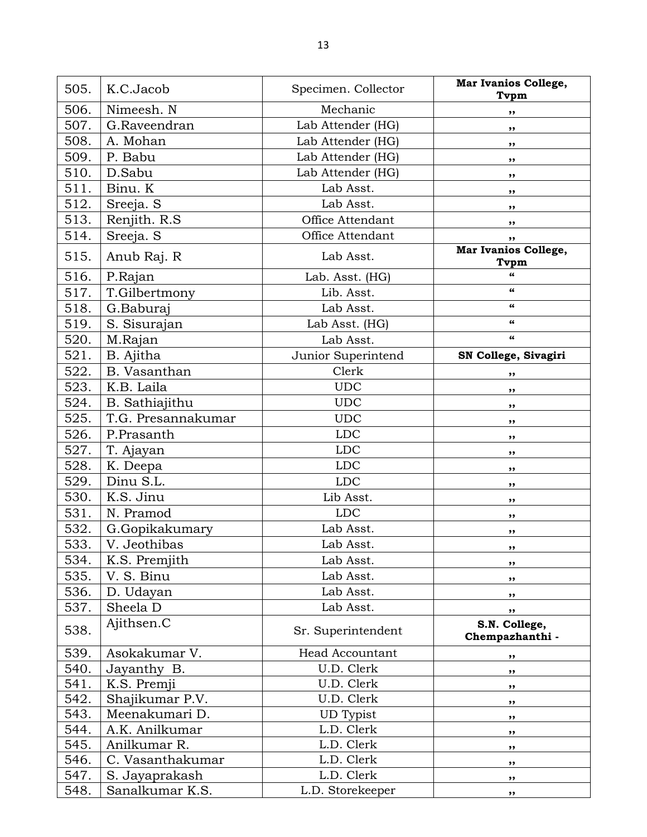| 505. | K.C.Jacob          | Specimen. Collector    | Mar Ivanios College,<br>Tvpm     |
|------|--------------------|------------------------|----------------------------------|
| 506. | Nimeesh. N         | Mechanic               | ,,                               |
| 507. | G.Raveendran       | Lab Attender (HG)      | ,,                               |
| 508. | A. Mohan           | Lab Attender (HG)      | ,,                               |
| 509. | P. Babu            | Lab Attender (HG)      | ,,                               |
| 510. | D.Sabu             | Lab Attender (HG)      | ,,                               |
| 511. | Binu. K            | Lab Asst.              | ,,                               |
| 512. | Sreeja. S          | Lab Asst.              | ,,                               |
| 513. | Renjith. R.S.      | Office Attendant       | ,,                               |
| 514. | Sreeja. S          | Office Attendant       | ,,                               |
| 515. | Anub Raj. R        | Lab Asst.              | Mar Ivanios College,<br>Tvpm     |
| 516. | P.Rajan            | Lab. Asst. (HG)        | 66                               |
| 517. | T.Gilbertmony      | Lib. Asst.             | $\epsilon$                       |
| 518. | G.Baburaj          | Lab Asst.              | 66                               |
| 519. | S. Sisurajan       | Lab Asst. (HG)         | $\epsilon$                       |
| 520. | M.Rajan            | Lab Asst.              | $\epsilon$                       |
| 521. | B. Ajitha          | Junior Superintend     | SN College, Sivagiri             |
| 522. | B. Vasanthan       | Clerk                  | ,,                               |
| 523. | K.B. Laila         | <b>UDC</b>             | ,,                               |
| 524. | B. Sathiajithu     | <b>UDC</b>             | ,,                               |
| 525. | T.G. Presannakumar | <b>UDC</b>             | ,,                               |
| 526. | P.Prasanth         | <b>LDC</b>             | ,,                               |
| 527. | T. Ajayan          | <b>LDC</b>             | ,,                               |
| 528. | K. Deepa           | <b>LDC</b>             | ,,                               |
| 529. | Dinu S.L.          | <b>LDC</b>             | ,,                               |
| 530. | K.S. Jinu          | Lib Asst.              | ,,                               |
| 531. | N. Pramod          | <b>LDC</b>             | ,,                               |
| 532. | G.Gopikakumary     | Lab Asst.              | ,,                               |
| 533. | V. Jeothibas       | Lab Asst.              | ,,                               |
| 534. | K.S. Premjith      | Lab Asst.              | ,,                               |
| 535. | V. S. Binu         | Lab Asst.              | ,,                               |
| 536. | D. Udayan          | Lab Asst.              | ,,                               |
| 537. | Sheela D           | Lab Asst.              | ,,                               |
| 538. | Ajithsen.C         | Sr. Superintendent     | S.N. College,<br>Chempazhanthi - |
| 539. | Asokakumar V.      | <b>Head Accountant</b> | ,,                               |
| 540. | Jayanthy B.        | U.D. Clerk             | ,,                               |
| 541. | K.S. Premji        | U.D. Clerk             | ,,                               |
| 542. | Shajikumar P.V.    | U.D. Clerk             | ,,                               |
| 543. | Meenakumari D.     | <b>UD</b> Typist       | ,,                               |
| 544. | A.K. Anilkumar     | L.D. Clerk             | $, \,$                           |
| 545. | Anilkumar R.       | L.D. Clerk             | ,,                               |
| 546. | C. Vasanthakumar   | L.D. Clerk             | ,,                               |
| 547. | S. Jayaprakash     | L.D. Clerk             | ,,                               |
| 548. | Sanalkumar K.S.    | L.D. Storekeeper       | ,,                               |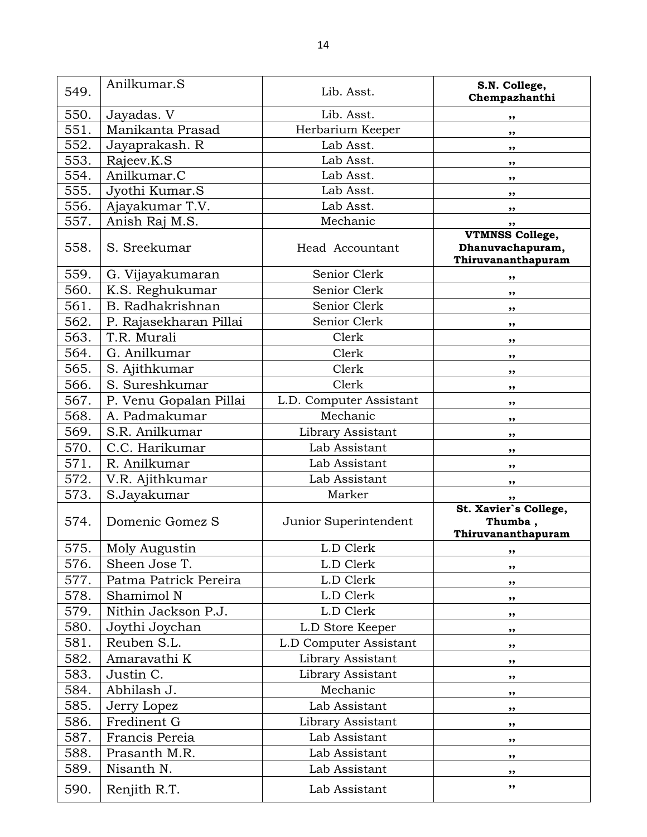| 549. | Anilkumar.S            | Lib. Asst.              | S.N. College,<br>Chempazhanthi                                   |
|------|------------------------|-------------------------|------------------------------------------------------------------|
| 550. | Jayadas. V             | Lib. Asst.              | ,,                                                               |
| 551. | Manikanta Prasad       | Herbarium Keeper        | ,,                                                               |
| 552. | Jayaprakash. R         | Lab Asst.               | ,,                                                               |
| 553. | Rajeev.K.S             | Lab Asst.               | ,,                                                               |
| 554. | Anilkumar.C            | Lab Asst.               | ,,                                                               |
| 555. | Jyothi Kumar.S         | Lab Asst.               | ,,                                                               |
| 556. | Ajayakumar T.V.        | Lab Asst.               | ,,                                                               |
| 557. | Anish Raj M.S.         | Mechanic                | ,,                                                               |
| 558. | S. Sreekumar           | Head Accountant         | <b>VTMNSS College,</b><br>Dhanuvachapuram,<br>Thiruvananthapuram |
| 559. | G. Vijayakumaran       | Senior Clerk            | ,,                                                               |
| 560. | K.S. Reghukumar        | Senior Clerk            | ,,                                                               |
| 561. | B. Radhakrishnan       | Senior Clerk            | ,,                                                               |
| 562. | P. Rajasekharan Pillai | Senior Clerk            | ,,                                                               |
| 563. | T.R. Murali            | Clerk                   | ,,                                                               |
| 564. | G. Anilkumar           | Clerk                   | ,,                                                               |
| 565. | S. Ajithkumar          | Clerk                   | ,,                                                               |
| 566. | S. Sureshkumar         | Clerk                   | ,,                                                               |
| 567. | P. Venu Gopalan Pillai | L.D. Computer Assistant | ,,                                                               |
| 568. | A. Padmakumar          | Mechanic                | ,,                                                               |
| 569. | S.R. Anilkumar         | Library Assistant       | ,,                                                               |
| 570. | C.C. Harikumar         | Lab Assistant           | ,,                                                               |
| 571. | R. Anilkumar           | Lab Assistant           | ,,                                                               |
| 572. | V.R. Ajithkumar        | Lab Assistant           | ,,                                                               |
| 573. | S.Jayakumar            | Marker                  | ,,                                                               |
| 574. | Domenic Gomez S        | Junior Superintendent   | St. Xavier's College,<br>Thumba,<br>Thiruvananthapuram           |
| 575. | Moly Augustin          | L.D Clerk               | ,,                                                               |
| 576. | Sheen Jose T.          | L.D Clerk               | ,,                                                               |
| 577. | Patma Patrick Pereira  | L.D Clerk               | ,,                                                               |
| 578. | Shamimol N             | L.D Clerk               | ,,                                                               |
| 579. | Nithin Jackson P.J.    | L.D Clerk               | ,,                                                               |
| 580. | Joythi Joychan         | L.D Store Keeper        | ,,                                                               |
| 581. | Reuben S.L.            | L.D Computer Assistant  | ,,                                                               |
| 582. | Amaravathi K           | Library Assistant       | ,,                                                               |
| 583. | Justin C.              | Library Assistant       | ,,                                                               |
| 584. | Abhilash J.            | Mechanic                | ,,                                                               |
| 585. | Jerry Lopez            | Lab Assistant           | ,,                                                               |
| 586. | Fredinent G            | Library Assistant       | ,,                                                               |
| 587. | Francis Pereia         | Lab Assistant           | ,,                                                               |
| 588. | Prasanth M.R.          | Lab Assistant           | ,,                                                               |
| 589. | Nisanth N.             | Lab Assistant           | ,,                                                               |
| 590. | Renjith R.T.           | Lab Assistant           | ,,                                                               |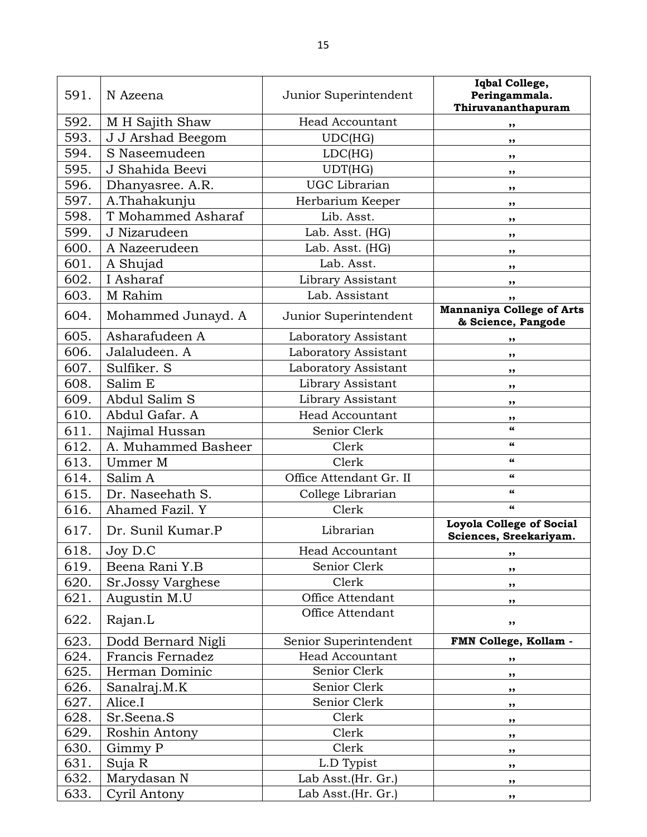| 591. | N Azeena            | Junior Superintendent   | Iqbal College,<br>Peringammala.<br>Thiruvananthapuram     |
|------|---------------------|-------------------------|-----------------------------------------------------------|
| 592. | M H Sajith Shaw     | <b>Head Accountant</b>  | ,,                                                        |
| 593. | J J Arshad Beegom   | UDC(HG)                 | ,,                                                        |
| 594. | S Naseemudeen       | LDC(HG)                 | ,,                                                        |
| 595. | J Shahida Beevi     | UDT(HG)                 | ,,                                                        |
| 596. | Dhanyasree. A.R.    | <b>UGC</b> Librarian    | ,,                                                        |
| 597. | A.Thahakunju        | Herbarium Keeper        | $, \,$                                                    |
| 598. | T Mohammed Asharaf  | Lib. Asst.              | ,,                                                        |
| 599. | J Nizarudeen        | Lab. Asst. (HG)         | ,,                                                        |
| 600. | A Nazeerudeen       | Lab. Asst. (HG)         | ,,                                                        |
| 601. | A Shujad            | Lab. Asst.              | ,,                                                        |
| 602. | I Asharaf           | Library Assistant       | ,,                                                        |
| 603. | M Rahim             | Lab. Assistant          | ,,                                                        |
| 604. | Mohammed Junayd. A  | Junior Superintendent   | <b>Mannaniya College of Arts</b><br>& Science, Pangode    |
| 605. | Asharafudeen A      | Laboratory Assistant    | ,,                                                        |
| 606. | Jalaludeen. A       | Laboratory Assistant    | ,,                                                        |
| 607. | Sulfiker. S         | Laboratory Assistant    | ,,                                                        |
| 608. | Salim E             | Library Assistant       | ,,                                                        |
| 609. | Abdul Salim S       | Library Assistant       | ,,                                                        |
| 610. | Abdul Gafar. A      | <b>Head Accountant</b>  | ,,                                                        |
| 611. | Najimal Hussan      | Senior Clerk            | $\epsilon$                                                |
| 612. | A. Muhammed Basheer | Clerk                   | 66                                                        |
| 613. | Ummer M             | Clerk                   | 66                                                        |
| 614. | Salim A             | Office Attendant Gr. II | 66                                                        |
| 615. | Dr. Naseehath S.    | College Librarian       | $\epsilon\epsilon$                                        |
| 616. | Ahamed Fazil. Y     | Clerk                   | $\epsilon\epsilon$                                        |
| 617. | Dr. Sunil Kumar.P   | Librarian               | <b>Loyola College of Social</b><br>Sciences, Sreekariyam. |
| 618. | Joy D.C             | Head Accountant         | ,,                                                        |
| 619. | Beena Rani Y.B      | Senior Clerk            | ,,                                                        |
| 620. | Sr.Jossy Varghese   | Clerk                   | $, \,$                                                    |
| 621. | Augustin M.U        | Office Attendant        | ,,                                                        |
| 622. | Rajan.L             | Office Attendant        | ,,                                                        |
| 623. | Dodd Bernard Nigli  | Senior Superintendent   | FMN College, Kollam -                                     |
| 624. | Francis Fernadez    | Head Accountant         | ,,                                                        |
| 625. | Herman Dominic      | Senior Clerk            | ,,                                                        |
| 626. | Sanalraj.M.K        | Senior Clerk            | ,,                                                        |
| 627. | Alice.I             | Senior Clerk            | ,,                                                        |
| 628. | Sr.Seena.S          | Clerk                   | ,,                                                        |
| 629. | Roshin Antony       | Clerk                   | ,,                                                        |
| 630. | Gimmy P             | Clerk                   | ,,                                                        |
| 631. | Suja R              | L.D Typist              | ,,                                                        |
| 632. | Marydasan N         | Lab Asst. (Hr. Gr.)     | ,,                                                        |
| 633. | Cyril Antony        | Lab Asst. (Hr. Gr.)     | ,,                                                        |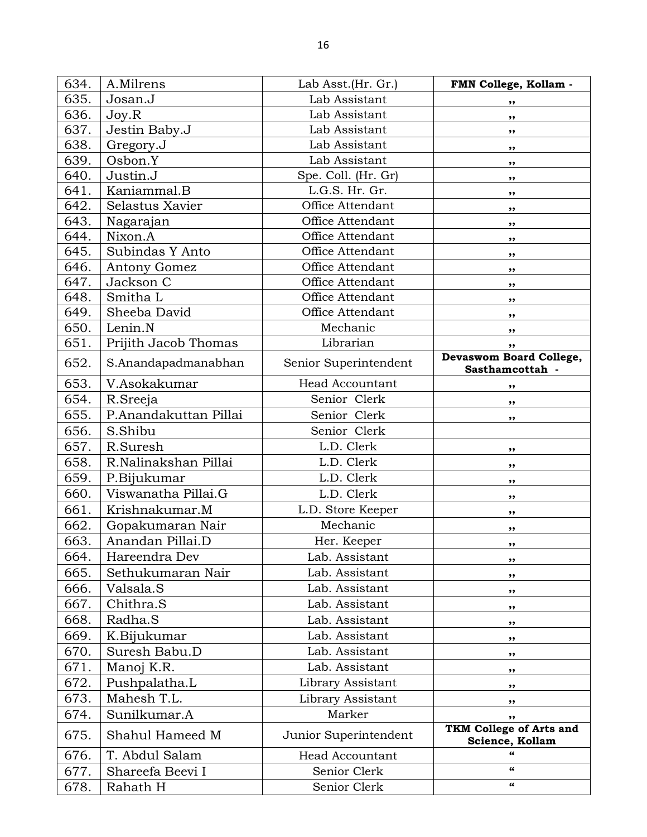| 634. | A.Milrens             | Lab Asst. (Hr. Gr.)    | FMN College, Kollam -                      |
|------|-----------------------|------------------------|--------------------------------------------|
| 635. | Josan.J               | Lab Assistant          | ,,                                         |
| 636. | Joy.R                 | Lab Assistant          | ,,                                         |
| 637. | Jestin Baby.J         | Lab Assistant          | ,,                                         |
| 638. | Gregory.J             | Lab Assistant          | ,,                                         |
| 639. | Osbon.Y               | Lab Assistant          | ,,                                         |
| 640. | Justin.J              | Spe. Coll. (Hr. Gr)    | ,,                                         |
| 641. | Kaniammal.B           | L.G.S. Hr. Gr.         | ,,                                         |
| 642. | Selastus Xavier       | Office Attendant       | ,,                                         |
| 643. | Nagarajan             | Office Attendant       | ,,                                         |
| 644. | Nixon.A               | Office Attendant       | ,,                                         |
| 645. | Subindas Y Anto       | Office Attendant       | ,,                                         |
| 646. | Antony Gomez          | Office Attendant       | ,,                                         |
| 647. | Jackson C             | Office Attendant       | ,,                                         |
| 648. | Smitha L              | Office Attendant       | ,,                                         |
| 649. | Sheeba David          | Office Attendant       | ,,                                         |
| 650. | Lenin.N               | Mechanic               | ,,                                         |
| 651. | Prijith Jacob Thomas  | Librarian              | ,,                                         |
| 652. | S.Anandapadmanabhan   | Senior Superintendent  | Devaswom Board College,<br>Sasthamcottah - |
| 653. | V.Asokakumar          | <b>Head Accountant</b> | ,,                                         |
| 654. | R.Sreeja              | Senior Clerk           | ,,                                         |
| 655. | P.Anandakuttan Pillai | Senior Clerk           | ,,                                         |
| 656. | S.Shibu               | Senior Clerk           |                                            |
| 657. | R.Suresh              | L.D. Clerk             | ,,                                         |
| 658. | R.Nalinakshan Pillai  | L.D. Clerk             | ,,                                         |
| 659. | P.Bijukumar           | L.D. Clerk             | ,,                                         |
| 660. | Viswanatha Pillai.G   | L.D. Clerk             | ,,                                         |
| 661. | Krishnakumar.M        | L.D. Store Keeper      | ,,                                         |
| 662. | Gopakumaran Nair      | Mechanic               | ,,                                         |
| 663. | Anandan Pillai.D      | Her. Keeper            | ,,                                         |
| 664. | Hareendra Dev         | Lab. Assistant         | ,,                                         |
| 665. | Sethukumaran Nair     | Lab. Assistant         | ,,                                         |
| 666. | Valsala.S             | Lab. Assistant         | ,,                                         |
| 667. | Chithra.S             | Lab. Assistant         | ,,                                         |
| 668. | Radha.S               | Lab. Assistant         | ,,                                         |
| 669. | K. Bijukumar          | Lab. Assistant         | ,,                                         |
| 670. | Suresh Babu.D         | Lab. Assistant         | ,,                                         |
| 671. | Manoj K.R.            | Lab. Assistant         | ,,                                         |
| 672. | Pushpalatha.L         | Library Assistant      | ,,                                         |
| 673. | Mahesh T.L.           | Library Assistant      | ,,                                         |
| 674. | Sunilkumar.A          | Marker                 | ,,                                         |
| 675. | Shahul Hameed M       | Junior Superintendent  | TKM College of Arts and<br>Science, Kollam |
| 676. | T. Abdul Salam        | <b>Head Accountant</b> | 66                                         |
| 677. | Shareefa Beevi I      | Senior Clerk           | $\pmb{\epsilon} \pmb{\epsilon}$            |
| 678. | Rahath H              | Senior Clerk           | 66                                         |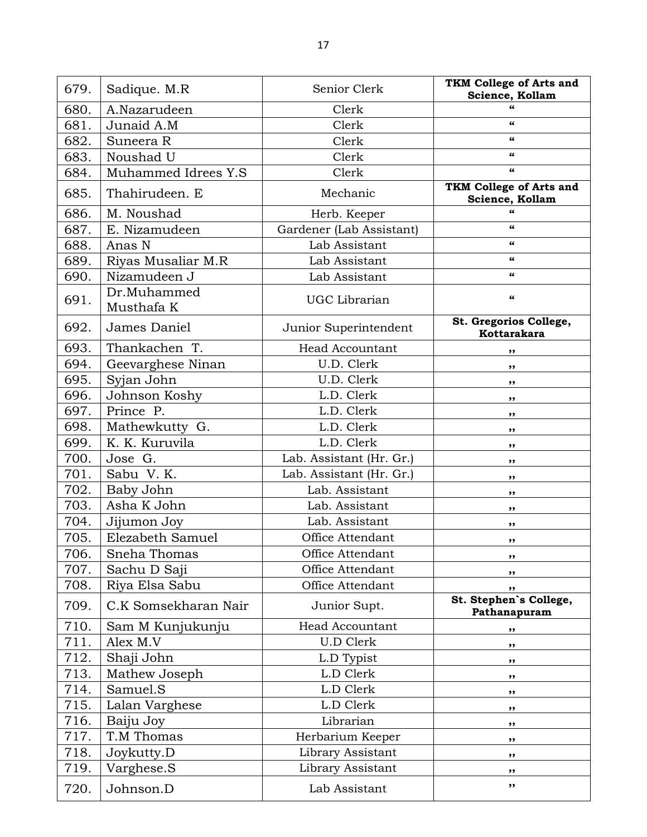| 679. | Sadique. M.R              | Senior Clerk             | TKM College of Arts and<br>Science, Kollam |
|------|---------------------------|--------------------------|--------------------------------------------|
| 680. | A.Nazarudeen              | Clerk                    |                                            |
| 681. | Junaid A.M                | Clerk                    | 66                                         |
| 682. | Suneera R                 | Clerk                    | 66                                         |
| 683. | Noushad U                 | Clerk                    | 66                                         |
| 684. | Muhammed Idrees Y.S       | Clerk                    | 66                                         |
| 685. | Thahirudeen. E            | Mechanic                 | TKM College of Arts and<br>Science, Kollam |
| 686. | M. Noushad                | Herb. Keeper             | $\epsilon$                                 |
| 687. | E. Nizamudeen             | Gardener (Lab Assistant) | 66                                         |
| 688. | Anas N                    | Lab Assistant            | 66                                         |
| 689. | Riyas Musaliar M.R        | Lab Assistant            | $\epsilon$                                 |
| 690. | Nizamudeen J              | Lab Assistant            | 66                                         |
| 691. | Dr.Muhammed<br>Musthafa K | UGC Librarian            | 66                                         |
| 692. | James Daniel              | Junior Superintendent    | St. Gregorios College,<br>Kottarakara      |
| 693. | Thankachen T.             | <b>Head Accountant</b>   | ,,                                         |
| 694. | Geevarghese Ninan         | U.D. Clerk               | ,,                                         |
| 695. | Syjan John                | U.D. Clerk               | ,,                                         |
| 696. | Johnson Koshy             | L.D. Clerk               | ,,                                         |
| 697. | Prince P.                 | L.D. Clerk               | ,,                                         |
| 698. | Mathewkutty G.            | L.D. Clerk               | ,,                                         |
| 699. | K. K. Kuruvila            | L.D. Clerk               | ,,                                         |
| 700. | Jose G.                   | Lab. Assistant (Hr. Gr.) | ,,                                         |
| 701. | Sabu V.K.                 | Lab. Assistant (Hr. Gr.) | ,,                                         |
| 702. | Baby John                 | Lab. Assistant           | ,,                                         |
| 703. | Asha K John               | Lab. Assistant           | ,,                                         |
| 704. | Jijumon Joy               | Lab. Assistant           | ,,                                         |
| 705. | Elezabeth Samuel          | Office Attendant         | ,,                                         |
| 706. | Sneha Thomas              | Office Attendant         | ,,                                         |
| 707. | Sachu D Saji              | Office Attendant         | ,,                                         |
| 708. | Riya Elsa Sabu            | Office Attendant         | ,,                                         |
| 709. | C.K Somsekharan Nair      | Junior Supt.             | St. Stephen's College,<br>Pathanapuram     |
| 710. | Sam M Kunjukunju          | <b>Head Accountant</b>   | ,,                                         |
| 711. | Alex M.V                  | <b>U.D Clerk</b>         | ,,                                         |
| 712. | Shaji John                | L.D Typist               | ,,                                         |
| 713. | Mathew Joseph             | L.D Clerk                | ,,                                         |
| 714. | Samuel.S                  | L.D Clerk                | ,,                                         |
| 715. | Lalan Varghese            | L.D Clerk                | $, \,$                                     |
| 716. | Baiju Joy                 | Librarian                | ,,                                         |
| 717. | T.M Thomas                | Herbarium Keeper         | $, \,$                                     |
| 718. | Joykutty.D                | Library Assistant        | ,,                                         |
| 719. | Varghese.S                | Library Assistant        | ,,                                         |
| 720. | Johnson.D                 | Lab Assistant            | ,,                                         |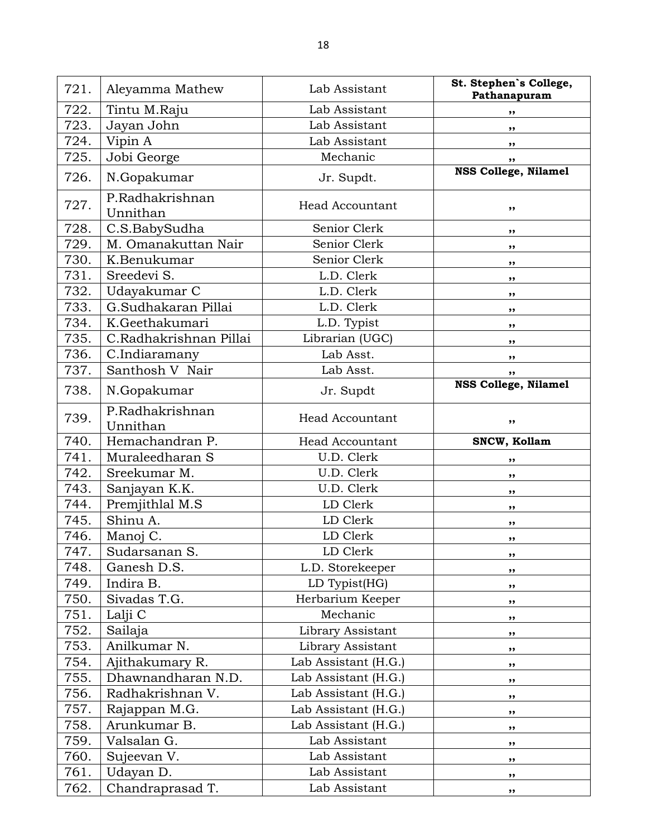| 721. | Aleyamma Mathew             | Lab Assistant          | St. Stephen's College,<br>Pathanapuram |
|------|-----------------------------|------------------------|----------------------------------------|
| 722. | Tintu M.Raju                | Lab Assistant          | ,,                                     |
| 723. | Jayan John                  | Lab Assistant          | ,,                                     |
| 724. | Vipin A                     | Lab Assistant          | ,,                                     |
| 725. | Jobi George                 | Mechanic               | ,,                                     |
| 726. | N.Gopakumar                 | Jr. Supdt.             | <b>NSS College, Nilamel</b>            |
| 727. | P.Radhakrishnan<br>Unnithan | <b>Head Accountant</b> | ,,                                     |
| 728. | C.S.BabySudha               | Senior Clerk           | ,,                                     |
| 729. | M. Omanakuttan Nair         | Senior Clerk           | ,,                                     |
| 730. | K.Benukumar                 | Senior Clerk           | ,,                                     |
| 731. | Sreedevi S.                 | L.D. Clerk             | ,,                                     |
| 732. | Udayakumar C                | L.D. Clerk             | ,,                                     |
| 733. | G.Sudhakaran Pillai         | L.D. Clerk             | ,,                                     |
| 734. | K.Geethakumari              | L.D. Typist            | ,,                                     |
| 735. | C.Radhakrishnan Pillai      | Librarian (UGC)        | ,,                                     |
| 736. | C.Indiaramany               | Lab Asst.              | ,,                                     |
| 737. | Santhosh V Nair             | Lab Asst.              | ,,                                     |
| 738. | N.Gopakumar                 | Jr. Supdt              | <b>NSS College, Nilamel</b>            |
| 739. | P.Radhakrishnan<br>Unnithan | <b>Head Accountant</b> | ,,                                     |
| 740. | Hemachandran P.             | <b>Head Accountant</b> | SNCW, Kollam                           |
| 741. | Muraleedharan S             | U.D. Clerk             | ,,                                     |
| 742. | Sreekumar M.                | U.D. Clerk             | ,,                                     |
| 743. | Sanjayan K.K.               | U.D. Clerk             | $, \,$                                 |
| 744. | Premjithlal M.S             | LD Clerk               | ,,                                     |
| 745. | Shinu A.                    | LD Clerk               | ,,                                     |
| 746. | Manoj C.                    | LD Clerk               | ,,                                     |
| 747. | Sudarsanan S.               | LD Clerk               | ,,                                     |
| 748. | Ganesh D.S.                 | L.D. Storekeeper       | ,,                                     |
| 749. | Indira B.                   | LD Typist(HG)          | ,,                                     |
| 750. | Sivadas T.G.                | Herbarium Keeper       | ,,                                     |
| 751. | Lalji C                     | Mechanic               | ,,                                     |
| 752. | Sailaja                     | Library Assistant      | ,,                                     |
| 753. | Anilkumar N.                | Library Assistant      | ,,                                     |
| 754. | Ajithakumary R.             | Lab Assistant (H.G.)   | ,,                                     |
| 755. | Dhawnandharan N.D.          | Lab Assistant (H.G.)   | ,,                                     |
| 756. | Radhakrishnan V.            | Lab Assistant (H.G.)   | ,,                                     |
| 757. | Rajappan M.G.               | Lab Assistant (H.G.)   | ,,                                     |
| 758. | Arunkumar B.                | Lab Assistant (H.G.)   | $, \,$                                 |
| 759. | Valsalan G.                 | Lab Assistant          | ,,                                     |
| 760. | Sujeevan V.                 | Lab Assistant          | $, \,$                                 |
| 761. | Udayan D.                   | Lab Assistant          | ,,                                     |
| 762. | Chandraprasad T.            | Lab Assistant          | ,,                                     |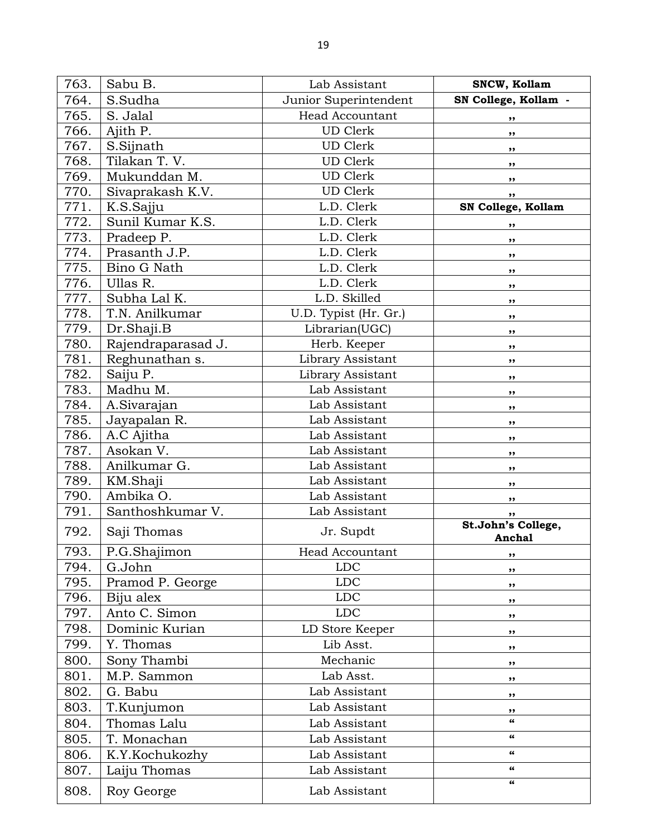| 763. | Sabu B.            | Lab Assistant          | SNCW, Kollam                 |
|------|--------------------|------------------------|------------------------------|
| 764. | S.Sudha            | Junior Superintendent  | SN College, Kollam -         |
| 765. | S. Jalal           | <b>Head Accountant</b> | ,,                           |
| 766. | Ajith P.           | <b>UD</b> Clerk        | ,,                           |
| 767. | S.Sijnath          | <b>UD</b> Clerk        | ,,                           |
| 768. | Tilakan T.V.       | <b>UD</b> Clerk        | ,,                           |
| 769. | Mukunddan M.       | <b>UD</b> Clerk        | ,,                           |
| 770. | Sivaprakash K.V.   | <b>UD</b> Clerk        | ,,                           |
| 771. | K.S.Sajju          | L.D. Clerk             | SN College, Kollam           |
| 772. | Sunil Kumar K.S.   | L.D. Clerk             | ,,                           |
| 773. | Pradeep P.         | L.D. Clerk             | ,,                           |
| 774. | Prasanth J.P.      | L.D. Clerk             | ,,                           |
| 775. | Bino G Nath        | L.D. Clerk             | ,,                           |
| 776. | Ullas R.           | L.D. Clerk             | ,,                           |
| 777. | Subha Lal K.       | L.D. Skilled           | ,,                           |
| 778. | T.N. Anilkumar     | U.D. Typist (Hr. Gr.)  | ,,                           |
| 779. | Dr.Shaji.B         | Librarian(UGC)         | ,,                           |
| 780. | Rajendraparasad J. | Herb. Keeper           | ,,                           |
| 781. | Reghunathan s.     | Library Assistant      | ,,                           |
| 782. | Saiju P.           | Library Assistant      | ,,                           |
| 783. | Madhu M.           | Lab Assistant          | ,,                           |
| 784. | A.Sivarajan        | Lab Assistant          | ,,                           |
| 785. | Jayapalan R.       | Lab Assistant          | ,,                           |
| 786. | A.C Ajitha         | Lab Assistant          | ,,                           |
| 787. | Asokan V.          | Lab Assistant          | ,,                           |
| 788. | Anilkumar G.       | Lab Assistant          | ,,                           |
| 789. | KM.Shaji           | Lab Assistant          | ,,                           |
| 790. | Ambika O.          | Lab Assistant          | ,,                           |
| 791. | Santhoshkumar V.   | Lab Assistant          | ,,                           |
| 792. | Saji Thomas        | Jr. Supdt              | St.John's College,<br>Anchal |
| 793. | P.G.Shajimon       | Head Accountant        | $, \,$                       |
| 794. | G.John             | <b>LDC</b>             | ,,                           |
| 795. | Pramod P. George   | <b>LDC</b>             | ,,                           |
| 796. | Biju alex          | <b>LDC</b>             | ,,                           |
| 797. | Anto C. Simon      | <b>LDC</b>             | ,,                           |
| 798. | Dominic Kurian     | LD Store Keeper        | ,,                           |
| 799. | Y. Thomas          | Lib Asst.              | ,,                           |
| 800. | Sony Thambi        | Mechanic               | ,,                           |
| 801. | M.P. Sammon        | Lab Asst.              | ,,                           |
| 802. | G. Babu            | Lab Assistant          | $, \,$                       |
| 803. | T.Kunjumon         | Lab Assistant          | ,,                           |
| 804. | Thomas Lalu        | Lab Assistant          | 66                           |
| 805. | T. Monachan        | Lab Assistant          | $\epsilon$                   |
| 806. | K.Y.Kochukozhy     | Lab Assistant          | $\epsilon$                   |
| 807. | Laiju Thomas       | Lab Assistant          | $\epsilon\epsilon$           |
| 808. | Roy George         | Lab Assistant          | $\epsilon\epsilon$           |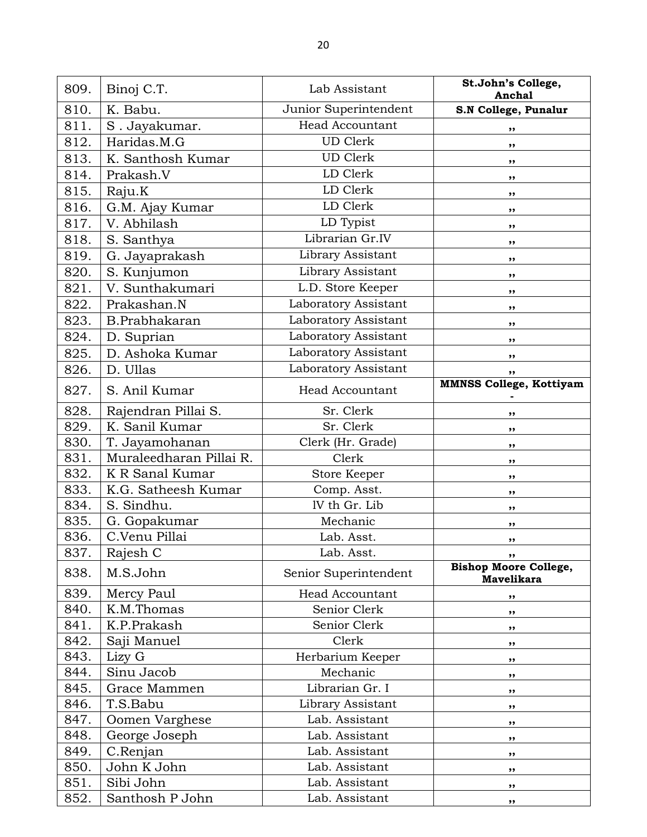| 810.<br>Junior Superintendent<br>K. Babu.<br>S.N College, Punalur<br><b>Head Accountant</b><br>811.<br>S. Jayakumar.<br>,,<br><b>UD Clerk</b><br>812.<br>Haridas.M.G<br>,,<br><b>UD</b> Clerk<br>813.<br>K. Santhosh Kumar<br>,,<br>LD Clerk<br>814.<br>Prakash.V<br>$, \,$<br>LD Clerk<br>815.<br>Raju.K<br>,,<br>LD Clerk<br>816.<br>G.M. Ajay Kumar<br>$, \,$<br>LD Typist<br>817.<br>V. Abhilash<br>,,<br>Librarian Gr.IV<br>818.<br>S. Santhya<br>,,<br>Library Assistant<br>819.<br>G. Jayaprakash<br>,,<br>Library Assistant<br>820.<br>S. Kunjumon<br>,,<br>L.D. Store Keeper<br>821.<br>V. Sunthakumari<br>,,<br>Laboratory Assistant<br>Prakashan.N<br>822.<br>,,<br>Laboratory Assistant<br>823.<br>B.Prabhakaran<br>,,<br>Laboratory Assistant<br>824.<br>D. Suprian<br>,,<br>Laboratory Assistant<br>825.<br>D. Ashoka Kumar<br>, ,<br>826.<br>Laboratory Assistant<br>D. Ullas<br>,,<br><b>MMNSS College, Kottiyam</b><br>827.<br>S. Anil Kumar<br><b>Head Accountant</b><br>828.<br>Rajendran Pillai S.<br>Sr. Clerk<br>,,<br>829.<br>K. Sanil Kumar<br>Sr. Clerk<br>,,<br>830.<br>T. Jayamohanan<br>Clerk (Hr. Grade)<br>,,<br>831.<br>Muraleedharan Pillai R.<br>Clerk<br>,,<br>832.<br>K R Sanal Kumar<br>Store Keeper<br>,,<br>833.<br>K.G. Satheesh Kumar<br>Comp. Asst.<br>,,<br>834.<br>IV th Gr. Lib<br>S. Sindhu.<br>$, \,$<br>835.<br>Mechanic<br>G. Gopakumar<br>,,<br>836.<br>C.Venu Pillai<br>Lab. Asst.<br>,,<br>837.<br>Rajesh C<br>Lab. Asst.<br>,,<br><b>Bishop Moore College,</b><br>838.<br>M.S.John<br>Senior Superintendent<br><b>Mavelikara</b><br>839.<br>Mercy Paul<br><b>Head Accountant</b><br>,,<br>840.<br>K.M.Thomas<br>Senior Clerk<br>,,<br>K.P.Prakash<br>841.<br>Senior Clerk<br>$, \,$<br>842.<br>Saji Manuel<br>Clerk<br>,,<br>843.<br>Lizy G<br>Herbarium Keeper<br>$, \,$<br>Sinu Jacob<br>844.<br>Mechanic<br>,,<br>845.<br>Grace Mammen<br>Librarian Gr. I<br>,,<br>846.<br>T.S.Babu<br>Library Assistant<br>,,<br>847.<br>Oomen Varghese<br>Lab. Assistant<br>,,<br>848.<br>George Joseph<br>Lab. Assistant<br>,,<br>849.<br>Lab. Assistant<br>C.Renjan<br>,,<br>850.<br>John K John<br>Lab. Assistant<br>,,<br>851.<br>Sibi John<br>Lab. Assistant<br>,, | 809. | Binoj C.T.      | Lab Assistant  | St.John's College,<br>Anchal |
|------------------------------------------------------------------------------------------------------------------------------------------------------------------------------------------------------------------------------------------------------------------------------------------------------------------------------------------------------------------------------------------------------------------------------------------------------------------------------------------------------------------------------------------------------------------------------------------------------------------------------------------------------------------------------------------------------------------------------------------------------------------------------------------------------------------------------------------------------------------------------------------------------------------------------------------------------------------------------------------------------------------------------------------------------------------------------------------------------------------------------------------------------------------------------------------------------------------------------------------------------------------------------------------------------------------------------------------------------------------------------------------------------------------------------------------------------------------------------------------------------------------------------------------------------------------------------------------------------------------------------------------------------------------------------------------------------------------------------------------------------------------------------------------------------------------------------------------------------------------------------------------------------------------------------------------------------------------------------------------------------------------------------------------------------------------------------------------------------------------------------------------------------------------------------------------------------------------|------|-----------------|----------------|------------------------------|
|                                                                                                                                                                                                                                                                                                                                                                                                                                                                                                                                                                                                                                                                                                                                                                                                                                                                                                                                                                                                                                                                                                                                                                                                                                                                                                                                                                                                                                                                                                                                                                                                                                                                                                                                                                                                                                                                                                                                                                                                                                                                                                                                                                                                                  |      |                 |                |                              |
|                                                                                                                                                                                                                                                                                                                                                                                                                                                                                                                                                                                                                                                                                                                                                                                                                                                                                                                                                                                                                                                                                                                                                                                                                                                                                                                                                                                                                                                                                                                                                                                                                                                                                                                                                                                                                                                                                                                                                                                                                                                                                                                                                                                                                  |      |                 |                |                              |
|                                                                                                                                                                                                                                                                                                                                                                                                                                                                                                                                                                                                                                                                                                                                                                                                                                                                                                                                                                                                                                                                                                                                                                                                                                                                                                                                                                                                                                                                                                                                                                                                                                                                                                                                                                                                                                                                                                                                                                                                                                                                                                                                                                                                                  |      |                 |                |                              |
|                                                                                                                                                                                                                                                                                                                                                                                                                                                                                                                                                                                                                                                                                                                                                                                                                                                                                                                                                                                                                                                                                                                                                                                                                                                                                                                                                                                                                                                                                                                                                                                                                                                                                                                                                                                                                                                                                                                                                                                                                                                                                                                                                                                                                  |      |                 |                |                              |
|                                                                                                                                                                                                                                                                                                                                                                                                                                                                                                                                                                                                                                                                                                                                                                                                                                                                                                                                                                                                                                                                                                                                                                                                                                                                                                                                                                                                                                                                                                                                                                                                                                                                                                                                                                                                                                                                                                                                                                                                                                                                                                                                                                                                                  |      |                 |                |                              |
|                                                                                                                                                                                                                                                                                                                                                                                                                                                                                                                                                                                                                                                                                                                                                                                                                                                                                                                                                                                                                                                                                                                                                                                                                                                                                                                                                                                                                                                                                                                                                                                                                                                                                                                                                                                                                                                                                                                                                                                                                                                                                                                                                                                                                  |      |                 |                |                              |
|                                                                                                                                                                                                                                                                                                                                                                                                                                                                                                                                                                                                                                                                                                                                                                                                                                                                                                                                                                                                                                                                                                                                                                                                                                                                                                                                                                                                                                                                                                                                                                                                                                                                                                                                                                                                                                                                                                                                                                                                                                                                                                                                                                                                                  |      |                 |                |                              |
|                                                                                                                                                                                                                                                                                                                                                                                                                                                                                                                                                                                                                                                                                                                                                                                                                                                                                                                                                                                                                                                                                                                                                                                                                                                                                                                                                                                                                                                                                                                                                                                                                                                                                                                                                                                                                                                                                                                                                                                                                                                                                                                                                                                                                  |      |                 |                |                              |
|                                                                                                                                                                                                                                                                                                                                                                                                                                                                                                                                                                                                                                                                                                                                                                                                                                                                                                                                                                                                                                                                                                                                                                                                                                                                                                                                                                                                                                                                                                                                                                                                                                                                                                                                                                                                                                                                                                                                                                                                                                                                                                                                                                                                                  |      |                 |                |                              |
|                                                                                                                                                                                                                                                                                                                                                                                                                                                                                                                                                                                                                                                                                                                                                                                                                                                                                                                                                                                                                                                                                                                                                                                                                                                                                                                                                                                                                                                                                                                                                                                                                                                                                                                                                                                                                                                                                                                                                                                                                                                                                                                                                                                                                  |      |                 |                |                              |
|                                                                                                                                                                                                                                                                                                                                                                                                                                                                                                                                                                                                                                                                                                                                                                                                                                                                                                                                                                                                                                                                                                                                                                                                                                                                                                                                                                                                                                                                                                                                                                                                                                                                                                                                                                                                                                                                                                                                                                                                                                                                                                                                                                                                                  |      |                 |                |                              |
|                                                                                                                                                                                                                                                                                                                                                                                                                                                                                                                                                                                                                                                                                                                                                                                                                                                                                                                                                                                                                                                                                                                                                                                                                                                                                                                                                                                                                                                                                                                                                                                                                                                                                                                                                                                                                                                                                                                                                                                                                                                                                                                                                                                                                  |      |                 |                |                              |
|                                                                                                                                                                                                                                                                                                                                                                                                                                                                                                                                                                                                                                                                                                                                                                                                                                                                                                                                                                                                                                                                                                                                                                                                                                                                                                                                                                                                                                                                                                                                                                                                                                                                                                                                                                                                                                                                                                                                                                                                                                                                                                                                                                                                                  |      |                 |                |                              |
|                                                                                                                                                                                                                                                                                                                                                                                                                                                                                                                                                                                                                                                                                                                                                                                                                                                                                                                                                                                                                                                                                                                                                                                                                                                                                                                                                                                                                                                                                                                                                                                                                                                                                                                                                                                                                                                                                                                                                                                                                                                                                                                                                                                                                  |      |                 |                |                              |
|                                                                                                                                                                                                                                                                                                                                                                                                                                                                                                                                                                                                                                                                                                                                                                                                                                                                                                                                                                                                                                                                                                                                                                                                                                                                                                                                                                                                                                                                                                                                                                                                                                                                                                                                                                                                                                                                                                                                                                                                                                                                                                                                                                                                                  |      |                 |                |                              |
|                                                                                                                                                                                                                                                                                                                                                                                                                                                                                                                                                                                                                                                                                                                                                                                                                                                                                                                                                                                                                                                                                                                                                                                                                                                                                                                                                                                                                                                                                                                                                                                                                                                                                                                                                                                                                                                                                                                                                                                                                                                                                                                                                                                                                  |      |                 |                |                              |
|                                                                                                                                                                                                                                                                                                                                                                                                                                                                                                                                                                                                                                                                                                                                                                                                                                                                                                                                                                                                                                                                                                                                                                                                                                                                                                                                                                                                                                                                                                                                                                                                                                                                                                                                                                                                                                                                                                                                                                                                                                                                                                                                                                                                                  |      |                 |                |                              |
|                                                                                                                                                                                                                                                                                                                                                                                                                                                                                                                                                                                                                                                                                                                                                                                                                                                                                                                                                                                                                                                                                                                                                                                                                                                                                                                                                                                                                                                                                                                                                                                                                                                                                                                                                                                                                                                                                                                                                                                                                                                                                                                                                                                                                  |      |                 |                |                              |
|                                                                                                                                                                                                                                                                                                                                                                                                                                                                                                                                                                                                                                                                                                                                                                                                                                                                                                                                                                                                                                                                                                                                                                                                                                                                                                                                                                                                                                                                                                                                                                                                                                                                                                                                                                                                                                                                                                                                                                                                                                                                                                                                                                                                                  |      |                 |                |                              |
|                                                                                                                                                                                                                                                                                                                                                                                                                                                                                                                                                                                                                                                                                                                                                                                                                                                                                                                                                                                                                                                                                                                                                                                                                                                                                                                                                                                                                                                                                                                                                                                                                                                                                                                                                                                                                                                                                                                                                                                                                                                                                                                                                                                                                  |      |                 |                |                              |
|                                                                                                                                                                                                                                                                                                                                                                                                                                                                                                                                                                                                                                                                                                                                                                                                                                                                                                                                                                                                                                                                                                                                                                                                                                                                                                                                                                                                                                                                                                                                                                                                                                                                                                                                                                                                                                                                                                                                                                                                                                                                                                                                                                                                                  |      |                 |                |                              |
|                                                                                                                                                                                                                                                                                                                                                                                                                                                                                                                                                                                                                                                                                                                                                                                                                                                                                                                                                                                                                                                                                                                                                                                                                                                                                                                                                                                                                                                                                                                                                                                                                                                                                                                                                                                                                                                                                                                                                                                                                                                                                                                                                                                                                  |      |                 |                |                              |
|                                                                                                                                                                                                                                                                                                                                                                                                                                                                                                                                                                                                                                                                                                                                                                                                                                                                                                                                                                                                                                                                                                                                                                                                                                                                                                                                                                                                                                                                                                                                                                                                                                                                                                                                                                                                                                                                                                                                                                                                                                                                                                                                                                                                                  |      |                 |                |                              |
|                                                                                                                                                                                                                                                                                                                                                                                                                                                                                                                                                                                                                                                                                                                                                                                                                                                                                                                                                                                                                                                                                                                                                                                                                                                                                                                                                                                                                                                                                                                                                                                                                                                                                                                                                                                                                                                                                                                                                                                                                                                                                                                                                                                                                  |      |                 |                |                              |
|                                                                                                                                                                                                                                                                                                                                                                                                                                                                                                                                                                                                                                                                                                                                                                                                                                                                                                                                                                                                                                                                                                                                                                                                                                                                                                                                                                                                                                                                                                                                                                                                                                                                                                                                                                                                                                                                                                                                                                                                                                                                                                                                                                                                                  |      |                 |                |                              |
|                                                                                                                                                                                                                                                                                                                                                                                                                                                                                                                                                                                                                                                                                                                                                                                                                                                                                                                                                                                                                                                                                                                                                                                                                                                                                                                                                                                                                                                                                                                                                                                                                                                                                                                                                                                                                                                                                                                                                                                                                                                                                                                                                                                                                  |      |                 |                |                              |
|                                                                                                                                                                                                                                                                                                                                                                                                                                                                                                                                                                                                                                                                                                                                                                                                                                                                                                                                                                                                                                                                                                                                                                                                                                                                                                                                                                                                                                                                                                                                                                                                                                                                                                                                                                                                                                                                                                                                                                                                                                                                                                                                                                                                                  |      |                 |                |                              |
|                                                                                                                                                                                                                                                                                                                                                                                                                                                                                                                                                                                                                                                                                                                                                                                                                                                                                                                                                                                                                                                                                                                                                                                                                                                                                                                                                                                                                                                                                                                                                                                                                                                                                                                                                                                                                                                                                                                                                                                                                                                                                                                                                                                                                  |      |                 |                |                              |
|                                                                                                                                                                                                                                                                                                                                                                                                                                                                                                                                                                                                                                                                                                                                                                                                                                                                                                                                                                                                                                                                                                                                                                                                                                                                                                                                                                                                                                                                                                                                                                                                                                                                                                                                                                                                                                                                                                                                                                                                                                                                                                                                                                                                                  |      |                 |                |                              |
|                                                                                                                                                                                                                                                                                                                                                                                                                                                                                                                                                                                                                                                                                                                                                                                                                                                                                                                                                                                                                                                                                                                                                                                                                                                                                                                                                                                                                                                                                                                                                                                                                                                                                                                                                                                                                                                                                                                                                                                                                                                                                                                                                                                                                  |      |                 |                |                              |
|                                                                                                                                                                                                                                                                                                                                                                                                                                                                                                                                                                                                                                                                                                                                                                                                                                                                                                                                                                                                                                                                                                                                                                                                                                                                                                                                                                                                                                                                                                                                                                                                                                                                                                                                                                                                                                                                                                                                                                                                                                                                                                                                                                                                                  |      |                 |                |                              |
|                                                                                                                                                                                                                                                                                                                                                                                                                                                                                                                                                                                                                                                                                                                                                                                                                                                                                                                                                                                                                                                                                                                                                                                                                                                                                                                                                                                                                                                                                                                                                                                                                                                                                                                                                                                                                                                                                                                                                                                                                                                                                                                                                                                                                  |      |                 |                |                              |
|                                                                                                                                                                                                                                                                                                                                                                                                                                                                                                                                                                                                                                                                                                                                                                                                                                                                                                                                                                                                                                                                                                                                                                                                                                                                                                                                                                                                                                                                                                                                                                                                                                                                                                                                                                                                                                                                                                                                                                                                                                                                                                                                                                                                                  |      |                 |                |                              |
|                                                                                                                                                                                                                                                                                                                                                                                                                                                                                                                                                                                                                                                                                                                                                                                                                                                                                                                                                                                                                                                                                                                                                                                                                                                                                                                                                                                                                                                                                                                                                                                                                                                                                                                                                                                                                                                                                                                                                                                                                                                                                                                                                                                                                  |      |                 |                |                              |
|                                                                                                                                                                                                                                                                                                                                                                                                                                                                                                                                                                                                                                                                                                                                                                                                                                                                                                                                                                                                                                                                                                                                                                                                                                                                                                                                                                                                                                                                                                                                                                                                                                                                                                                                                                                                                                                                                                                                                                                                                                                                                                                                                                                                                  |      |                 |                |                              |
|                                                                                                                                                                                                                                                                                                                                                                                                                                                                                                                                                                                                                                                                                                                                                                                                                                                                                                                                                                                                                                                                                                                                                                                                                                                                                                                                                                                                                                                                                                                                                                                                                                                                                                                                                                                                                                                                                                                                                                                                                                                                                                                                                                                                                  |      |                 |                |                              |
|                                                                                                                                                                                                                                                                                                                                                                                                                                                                                                                                                                                                                                                                                                                                                                                                                                                                                                                                                                                                                                                                                                                                                                                                                                                                                                                                                                                                                                                                                                                                                                                                                                                                                                                                                                                                                                                                                                                                                                                                                                                                                                                                                                                                                  |      |                 |                |                              |
|                                                                                                                                                                                                                                                                                                                                                                                                                                                                                                                                                                                                                                                                                                                                                                                                                                                                                                                                                                                                                                                                                                                                                                                                                                                                                                                                                                                                                                                                                                                                                                                                                                                                                                                                                                                                                                                                                                                                                                                                                                                                                                                                                                                                                  |      |                 |                |                              |
|                                                                                                                                                                                                                                                                                                                                                                                                                                                                                                                                                                                                                                                                                                                                                                                                                                                                                                                                                                                                                                                                                                                                                                                                                                                                                                                                                                                                                                                                                                                                                                                                                                                                                                                                                                                                                                                                                                                                                                                                                                                                                                                                                                                                                  |      |                 |                |                              |
|                                                                                                                                                                                                                                                                                                                                                                                                                                                                                                                                                                                                                                                                                                                                                                                                                                                                                                                                                                                                                                                                                                                                                                                                                                                                                                                                                                                                                                                                                                                                                                                                                                                                                                                                                                                                                                                                                                                                                                                                                                                                                                                                                                                                                  |      |                 |                |                              |
|                                                                                                                                                                                                                                                                                                                                                                                                                                                                                                                                                                                                                                                                                                                                                                                                                                                                                                                                                                                                                                                                                                                                                                                                                                                                                                                                                                                                                                                                                                                                                                                                                                                                                                                                                                                                                                                                                                                                                                                                                                                                                                                                                                                                                  |      |                 |                |                              |
|                                                                                                                                                                                                                                                                                                                                                                                                                                                                                                                                                                                                                                                                                                                                                                                                                                                                                                                                                                                                                                                                                                                                                                                                                                                                                                                                                                                                                                                                                                                                                                                                                                                                                                                                                                                                                                                                                                                                                                                                                                                                                                                                                                                                                  |      |                 |                |                              |
| ,,                                                                                                                                                                                                                                                                                                                                                                                                                                                                                                                                                                                                                                                                                                                                                                                                                                                                                                                                                                                                                                                                                                                                                                                                                                                                                                                                                                                                                                                                                                                                                                                                                                                                                                                                                                                                                                                                                                                                                                                                                                                                                                                                                                                                               | 852. | Santhosh P John | Lab. Assistant |                              |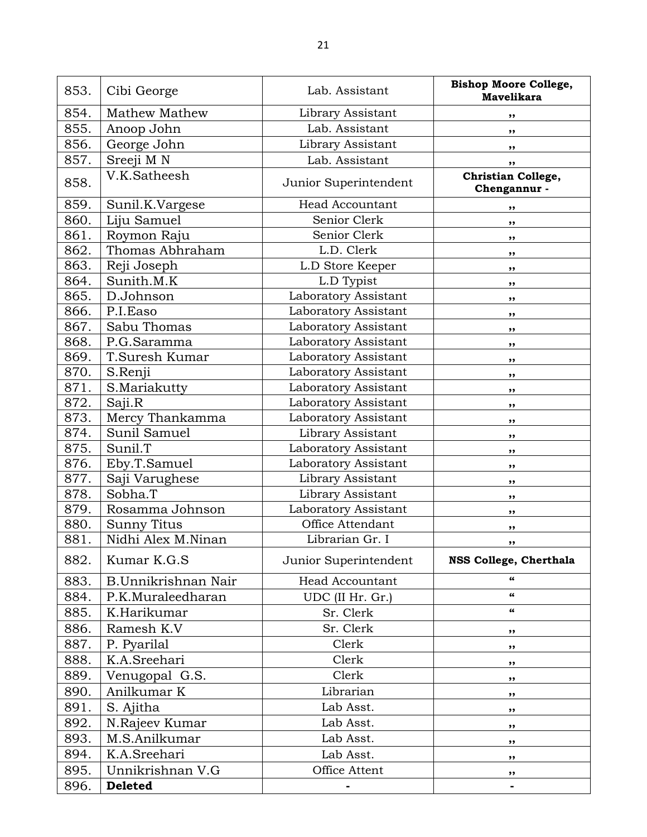| 853. | Cibi George          | Lab. Assistant         | <b>Bishop Moore College,</b><br><b>Mavelikara</b> |
|------|----------------------|------------------------|---------------------------------------------------|
| 854. | <b>Mathew Mathew</b> | Library Assistant      | ,,                                                |
| 855. | Anoop John           | Lab. Assistant         | ,,                                                |
| 856. | George John          | Library Assistant      | ,,                                                |
| 857. | Sreeji M N           | Lab. Assistant         | ,,                                                |
| 858. | V.K.Satheesh         | Junior Superintendent  | Christian College,<br>Chengannur -                |
| 859. | Sunil.K.Vargese      | <b>Head Accountant</b> | ,,                                                |
| 860. | Liju Samuel          | Senior Clerk           | ,,                                                |
| 861. | Roymon Raju          | Senior Clerk           | ,,                                                |
| 862. | Thomas Abhraham      | L.D. Clerk             | ,,                                                |
| 863. | Reji Joseph          | L.D Store Keeper       | ,,                                                |
| 864. | Sunith.M.K           | L.D Typist             | ,,                                                |
| 865. | D.Johnson            | Laboratory Assistant   | ,,                                                |
| 866. | P.I. Easo            | Laboratory Assistant   | ,,                                                |
| 867. | Sabu Thomas          | Laboratory Assistant   | ,,                                                |
| 868. | P.G.Saramma          | Laboratory Assistant   | ,,                                                |
| 869. | T.Suresh Kumar       | Laboratory Assistant   | , ,                                               |
| 870. | S.Renji              | Laboratory Assistant   | ,,                                                |
| 871. | S.Mariakutty         | Laboratory Assistant   | ,,                                                |
| 872. | Saji.R               | Laboratory Assistant   | ,,                                                |
| 873. | Mercy Thankamma      | Laboratory Assistant   | ,,                                                |
| 874. | Sunil Samuel         | Library Assistant      | ,,                                                |
| 875. | Sunil.T              | Laboratory Assistant   | ,,                                                |
| 876. | Eby.T.Samuel         | Laboratory Assistant   | ,,                                                |
| 877. | Saji Varughese       | Library Assistant      | ,,                                                |
| 878. | Sobha.T              | Library Assistant      | ,,                                                |
| 879. | Rosamma Johnson      | Laboratory Assistant   | ,,                                                |
| 880. | <b>Sunny Titus</b>   | Office Attendant       | ,,                                                |
| 881. | Nidhi Alex M.Ninan   | Librarian Gr. I        | ,,                                                |
| 882. | Kumar K.G.S          | Junior Superintendent  | NSS College, Cherthala                            |
| 883. | B.Unnikrishnan Nair  | <b>Head Accountant</b> | 66                                                |
| 884. | P.K.Muraleedharan    | UDC (II Hr. Gr.)       | $\pmb{\epsilon} \pmb{\epsilon}$                   |
| 885. | K.Harikumar          | Sr. Clerk              | 66                                                |
| 886. | Ramesh K.V           | Sr. Clerk              | ,,                                                |
| 887. | P. Pyarilal          | Clerk                  | ,,                                                |
| 888. | K.A.Sreehari         | Clerk                  | ,,                                                |
| 889. | Venugopal G.S.       | Clerk                  | ,,                                                |
| 890. | Anilkumar K          | Librarian              | ,,                                                |
| 891. | S. Ajitha            | Lab Asst.              | ,,                                                |
| 892. | N.Rajeev Kumar       | Lab Asst.              | ,,                                                |
| 893. | M.S.Anilkumar        | Lab Asst.              | ,,                                                |
| 894. | K.A.Sreehari         | Lab Asst.              | ,,                                                |
| 895. | Unnikrishnan V.G     | Office Attent          | ,,                                                |
| 896. | <b>Deleted</b>       |                        |                                                   |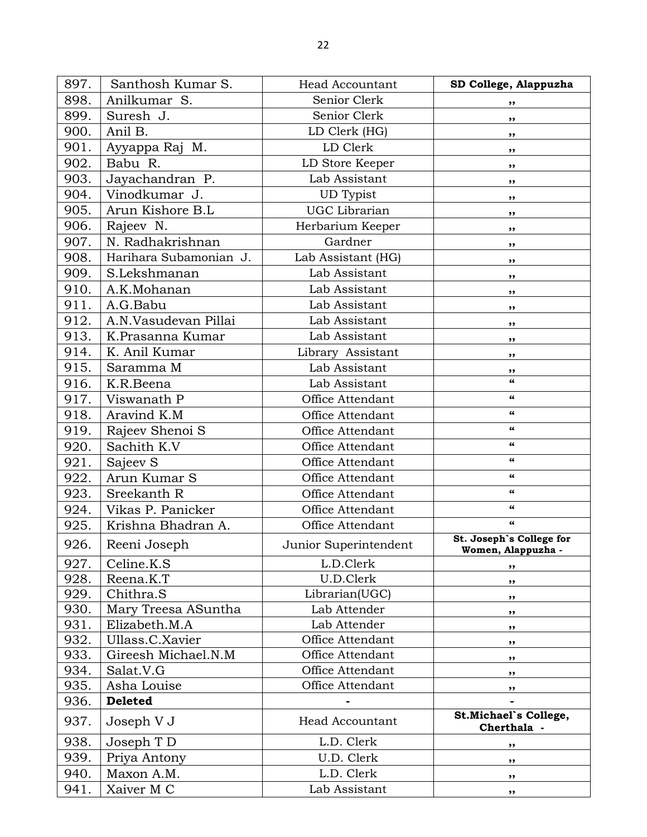| 897. | Santhosh Kumar S.      | <b>Head Accountant</b> | SD College, Alappuzha                          |
|------|------------------------|------------------------|------------------------------------------------|
| 898. | Anilkumar S.           | Senior Clerk           | ,,                                             |
| 899. | Suresh J.              | Senior Clerk           | ,,                                             |
| 900. | Anil B.                | LD Clerk (HG)          | ,,                                             |
| 901. | Ayyappa Raj M.         | LD Clerk               | ,,                                             |
| 902. | Babu R.                | LD Store Keeper        | ,,                                             |
| 903. | Jayachandran P.        | Lab Assistant          | ,,                                             |
| 904. | Vinodkumar J.          | <b>UD</b> Typist       | ,,                                             |
| 905. | Arun Kishore B.L       | <b>UGC</b> Librarian   | ,,                                             |
| 906. | Rajeev N.              | Herbarium Keeper       | ,,                                             |
| 907. | N. Radhakrishnan       | Gardner                | ,,                                             |
| 908. | Harihara Subamonian J. | Lab Assistant (HG)     | ,,                                             |
| 909. | S.Lekshmanan           | Lab Assistant          | ,,                                             |
| 910. | A.K.Mohanan            | Lab Assistant          | ,,                                             |
| 911. | A.G.Babu               | Lab Assistant          | ,,                                             |
| 912. | A.N.Vasudevan Pillai   | Lab Assistant          | ,,                                             |
| 913. | K.Prasanna Kumar       | Lab Assistant          | ,,                                             |
| 914. | K. Anil Kumar          | Library Assistant      | ,,                                             |
| 915. | Saramma M              | Lab Assistant          | ,,                                             |
| 916. | K.R.Beena              | Lab Assistant          | $\pmb{\epsilon} \pmb{\epsilon}$                |
| 917. | Viswanath P            | Office Attendant       | $\epsilon\epsilon$                             |
| 918. | Aravind K.M            | Office Attendant       | $\pmb{\epsilon} \pmb{\epsilon}$                |
| 919. | Rajeev Shenoi S        | Office Attendant       | 66                                             |
| 920. | Sachith K.V            | Office Attendant       | $\epsilon\epsilon$                             |
| 921. | Sajeev S               | Office Attendant       | 66                                             |
| 922. | Arun Kumar S           | Office Attendant       | 66                                             |
| 923. | Sreekanth R            | Office Attendant       | 66                                             |
| 924. | Vikas P. Panicker      | Office Attendant       | $\pmb{\epsilon} \pmb{\epsilon}$                |
| 925. | Krishna Bhadran A.     | Office Attendant       | 66                                             |
| 926. | Reeni Joseph           | Junior Superintendent  | St. Joseph's College for<br>Women, Alappuzha - |
| 927. | Celine.K.S             | L.D.Clerk              | ,,                                             |
| 928. | Reena.K.T              | U.D.Clerk              | ,,                                             |
| 929. | Chithra.S              | Librarian(UGC)         | ,,                                             |
| 930. | Mary Treesa ASuntha    | Lab Attender           | ,,                                             |
| 931. | Elizabeth.M.A          | Lab Attender           | ,,                                             |
| 932. | Ullass.C.Xavier        | Office Attendant       | ,,                                             |
| 933. | Gireesh Michael.N.M    | Office Attendant       | ,,                                             |
| 934. | Salat.V.G              | Office Attendant       | ,,                                             |
| 935. | Asha Louise            | Office Attendant       | ,,                                             |
| 936. | <b>Deleted</b>         |                        |                                                |
| 937. | Joseph V J             | <b>Head Accountant</b> | St.Michael's College,<br>Cherthala -           |
| 938. | Joseph T D             | L.D. Clerk             | ,,                                             |
| 939. | Priya Antony           | U.D. Clerk             | ,,                                             |
| 940. | Maxon A.M.             | L.D. Clerk             | ,,                                             |
| 941. | Xaiver M C             | Lab Assistant          | ,,                                             |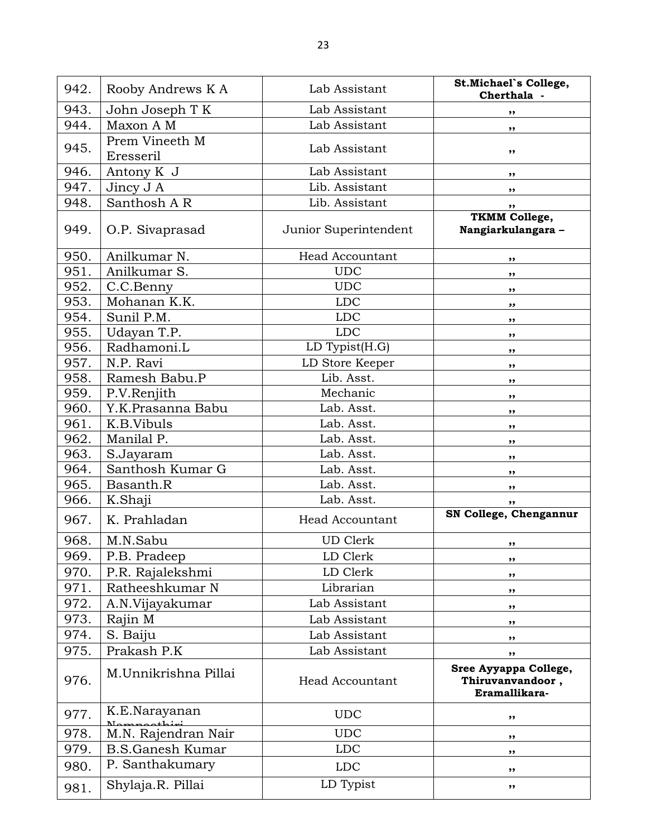| 942. | Rooby Andrews K A             | Lab Assistant          | St.Michael's College,<br>Cherthala -                       |
|------|-------------------------------|------------------------|------------------------------------------------------------|
| 943. | John Joseph T K               | Lab Assistant          | ,,                                                         |
| 944. | Maxon A M                     | Lab Assistant          | ,,                                                         |
| 945. | Prem Vineeth M<br>Eresseril   | Lab Assistant          | ,,                                                         |
| 946. | Antony K J                    | Lab Assistant          | ,,                                                         |
| 947. | Jincy J A                     | Lib. Assistant         | ,,                                                         |
| 948. | Santhosh A R                  | Lib. Assistant         | ,,                                                         |
| 949. | O.P. Sivaprasad               | Junior Superintendent  | <b>TKMM College,</b><br>Nangiarkulangara -                 |
| 950. | Anilkumar N.                  | <b>Head Accountant</b> | ,,                                                         |
| 951. | Anilkumar S.                  | <b>UDC</b>             | ,,                                                         |
| 952. | C.C.Benny                     | <b>UDC</b>             | ,,                                                         |
| 953. | Mohanan K.K.                  | <b>LDC</b>             | ,,                                                         |
| 954. | Sunil P.M.                    | <b>LDC</b>             | ,,                                                         |
| 955. | Udayan T.P.                   | <b>LDC</b>             | ,,                                                         |
| 956. | Radhamoni.L                   | LD Typist(H.G)         | ,,                                                         |
| 957. | N.P. Ravi                     | LD Store Keeper        | ,,                                                         |
| 958. | Ramesh Babu.P                 | Lib. Asst.             | ,,                                                         |
| 959. | P.V.Renjith                   | Mechanic               | ,,                                                         |
| 960. | Y.K.Prasanna Babu             | Lab. Asst.             | ,,                                                         |
| 961. | K.B.Vibuls                    | Lab. Asst.             | ,,                                                         |
| 962. | Manilal P.                    | Lab. Asst.             | ,,                                                         |
| 963. | S.Jayaram                     | Lab. Asst.             | ,,                                                         |
| 964. | Santhosh Kumar G              | Lab. Asst.             | ,,                                                         |
| 965. | Basanth.R                     | Lab. Asst.             | ,,                                                         |
| 966. | K.Shaji                       | Lab. Asst.             | ,,                                                         |
| 967. | K. Prahladan                  | <b>Head Accountant</b> | SN College, Chengannur                                     |
| 968. | M.N.Sabu                      | <b>UD</b> Clerk        | ,,                                                         |
| 969. | P.B. Pradeep                  | LD Clerk               | ,,                                                         |
| 970. | P.R. Rajalekshmi              | LD Clerk               | ,,                                                         |
| 971. | Ratheeshkumar N               | Librarian              | ,,                                                         |
| 972. | A.N.Vijayakumar               | Lab Assistant          | ,,                                                         |
| 973. | Rajin M                       | Lab Assistant          | ,,                                                         |
| 974. | S. Baiju                      | Lab Assistant          | ,,                                                         |
| 975. | Prakash P.K                   | Lab Assistant          | ,,                                                         |
| 976. | M.Unnikrishna Pillai          | <b>Head Accountant</b> | Sree Ayyappa College,<br>Thiruvanvandoor,<br>Eramallikara- |
| 977. | K.E.Narayanan<br>$\sim$ thini | <b>UDC</b>             | ,,                                                         |
| 978. | M.N. Rajendran Nair           | <b>UDC</b>             | ,,                                                         |
| 979. | <b>B.S.Ganesh Kumar</b>       | <b>LDC</b>             | ,,                                                         |
| 980. | P. Santhakumary               | <b>LDC</b>             | ,,                                                         |
| 981. | Shylaja.R. Pillai             | LD Typist              | ,,                                                         |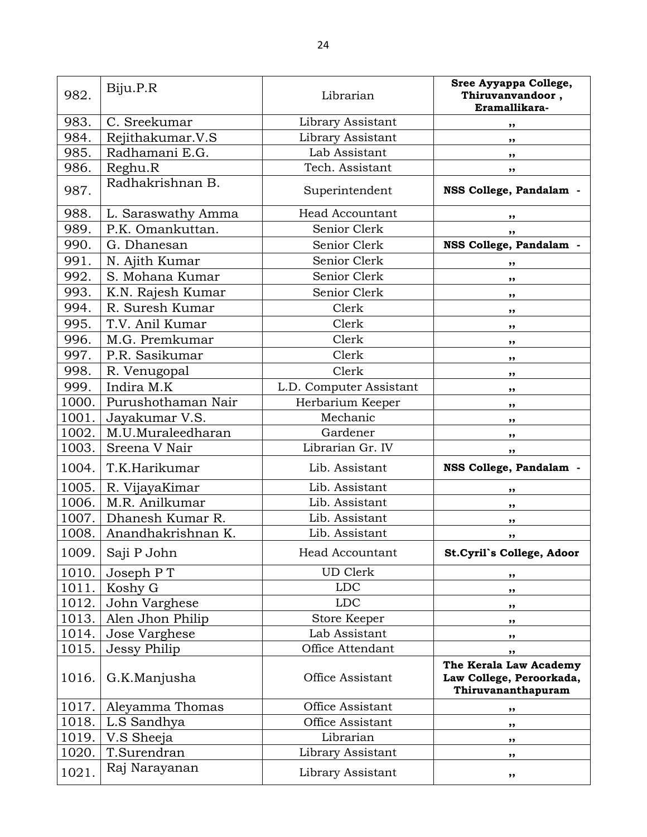| 982.  | Biju.P.R           | Librarian               | Sree Ayyappa College,<br>Thiruvanvandoor,<br>Eramallikara-               |
|-------|--------------------|-------------------------|--------------------------------------------------------------------------|
| 983.  | C. Sreekumar       | Library Assistant       | ,,                                                                       |
| 984.  | Rejithakumar.V.S   | Library Assistant       | ,,                                                                       |
| 985.  | Radhamani E.G.     | Lab Assistant           | ,,                                                                       |
| 986.  | Reghu.R            | Tech. Assistant         | ,,                                                                       |
| 987.  | Radhakrishnan B.   | Superintendent          | NSS College, Pandalam -                                                  |
| 988.  | L. Saraswathy Amma | <b>Head Accountant</b>  | ,,                                                                       |
| 989.  | P.K. Omankuttan.   | Senior Clerk            | ,,                                                                       |
| 990.  | G. Dhanesan        | Senior Clerk            | NSS College, Pandalam -                                                  |
| 991.  | N. Ajith Kumar     | Senior Clerk            | ,,                                                                       |
| 992.  | S. Mohana Kumar    | Senior Clerk            | ,,                                                                       |
| 993.  | K.N. Rajesh Kumar  | Senior Clerk            | ,,                                                                       |
| 994.  | R. Suresh Kumar    | Clerk                   | ,,                                                                       |
| 995.  | T.V. Anil Kumar    | Clerk                   | ,,                                                                       |
| 996.  | M.G. Premkumar     | Clerk                   | ,,                                                                       |
| 997.  | P.R. Sasikumar     | Clerk                   | ,,                                                                       |
| 998.  | R. Venugopal       | Clerk                   | ,,                                                                       |
| 999.  | Indira M.K         | L.D. Computer Assistant | ,,                                                                       |
| 1000. | Purushothaman Nair | Herbarium Keeper        | ,,                                                                       |
| 1001. | Jayakumar V.S.     | Mechanic                | ,,                                                                       |
| 1002. | M.U.Muraleedharan  | Gardener                | ,,                                                                       |
| 1003. | Sreena V Nair      | Librarian Gr. IV        | ,,                                                                       |
| 1004. | T.K.Harikumar      | Lib. Assistant          | NSS College, Pandalam -                                                  |
| 1005. | R. VijayaKimar     | Lib. Assistant          | ,,                                                                       |
| 1006. | M.R. Anilkumar     | Lib. Assistant          | ,,                                                                       |
| 1007. | Dhanesh Kumar R.   | Lib. Assistant          | ,,                                                                       |
| 1008. | Anandhakrishnan K. | Lib. Assistant          | ,,                                                                       |
| 1009. | Saji P John        | Head Accountant         | St.Cyril's College, Adoor                                                |
| 1010. | Joseph PT          | <b>UD</b> Clerk         | ,,                                                                       |
| 1011. | Koshy G            | <b>LDC</b>              | ,,                                                                       |
| 1012. | John Varghese      | <b>LDC</b>              | ,,                                                                       |
| 1013. | Alen Jhon Philip   | Store Keeper            | ,,                                                                       |
| 1014. | Jose Varghese      | Lab Assistant           | ,,                                                                       |
| 1015. | Jessy Philip       | Office Attendant        | ,,                                                                       |
| 1016. | G.K.Manjusha       | Office Assistant        | The Kerala Law Academy<br>Law College, Peroorkada,<br>Thiruvananthapuram |
| 1017. | Aleyamma Thomas    | Office Assistant        | ,,                                                                       |
| 1018. | L.S Sandhya        | Office Assistant        | ,,                                                                       |
| 1019. | V.S Sheeja         | Librarian               | ,,                                                                       |
| 1020. | T.Surendran        | Library Assistant       | ,,                                                                       |
| 1021. | Raj Narayanan      | Library Assistant       | ,,                                                                       |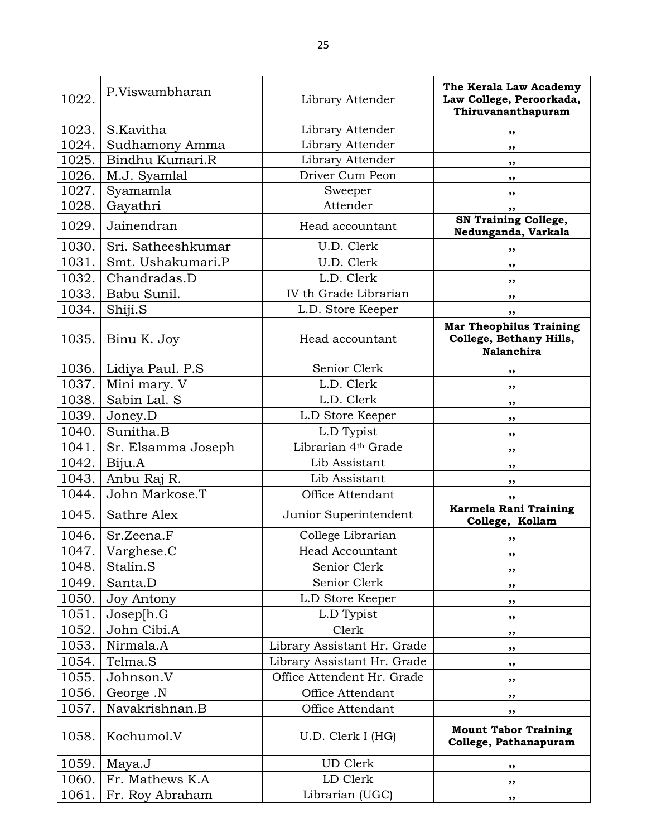| 1022. | P.Viswambharan     | Library Attender            | The Kerala Law Academy<br>Law College, Peroorkada,<br>Thiruvananthapuram       |
|-------|--------------------|-----------------------------|--------------------------------------------------------------------------------|
| 1023. | S.Kavitha          | Library Attender            | ,,                                                                             |
| 1024. | Sudhamony Amma     | Library Attender            | ,,                                                                             |
| 1025. | Bindhu Kumari.R    | Library Attender            | ,,                                                                             |
| 1026. | M.J. Syamlal       | Driver Cum Peon             | ,,                                                                             |
| 1027. | Syamamla           | Sweeper                     | ,,                                                                             |
| 1028. | Gayathri           | Attender                    | ,,                                                                             |
| 1029. | Jainendran         | Head accountant             | <b>SN Training College,</b><br>Nedunganda, Varkala                             |
| 1030. | Sri. Satheeshkumar | U.D. Clerk                  | ,,                                                                             |
| 1031. | Smt. Ushakumari.P  | U.D. Clerk                  | ,,                                                                             |
| 1032. | Chandradas.D       | L.D. Clerk                  | $, \,$                                                                         |
| 1033. | Babu Sunil.        | IV th Grade Librarian       | $, \,$                                                                         |
| 1034. | Shiji.S            | L.D. Store Keeper           | ,,                                                                             |
| 1035. | Binu K. Joy        | Head accountant             | <b>Mar Theophilus Training</b><br>College, Bethany Hills,<br><b>Nalanchira</b> |
| 1036. | Lidiya Paul. P.S   | Senior Clerk                | ,,                                                                             |
| 1037. | Mini mary. V       | L.D. Clerk                  | ,,                                                                             |
| 1038. | Sabin Lal. S       | L.D. Clerk                  | ,,                                                                             |
| 1039. | Joney.D            | L.D Store Keeper            | $, \,$                                                                         |
| 1040. | Sunitha.B          | L.D Typist                  | $, \,$                                                                         |
| 1041. | Sr. Elsamma Joseph | Librarian 4th Grade         | ,,                                                                             |
| 1042. | Biju.A             | Lib Assistant               | $, \,$                                                                         |
| 1043. | Anbu Raj R.        | Lib Assistant               | ,,                                                                             |
| 1044. | John Markose.T     | Office Attendant            | ,,                                                                             |
| 1045. | Sathre Alex        | Junior Superintendent       | Karmela Rani Training<br>College, Kollam                                       |
| 1046. | Sr.Zeena.F         | College Librarian           | ,,                                                                             |
| 1047. | Varghese.C         | <b>Head Accountant</b>      | ,,                                                                             |
| 1048. | Stalin.S           | Senior Clerk                | ,,                                                                             |
| 1049. | Santa.D            | Senior Clerk                | ,,                                                                             |
| 1050. | <b>Joy Antony</b>  | L.D Store Keeper            | ,,                                                                             |
| 1051. | Joseph.G           | L.D Typist                  | ,,                                                                             |
| 1052. | John Cibi.A        | Clerk                       | ,,                                                                             |
| 1053. | Nirmala.A          | Library Assistant Hr. Grade | ,,                                                                             |
| 1054. | Telma.S            | Library Assistant Hr. Grade | ,,                                                                             |
| 1055. | Johnson.V          | Office Attendent Hr. Grade  | $, \,$                                                                         |
| 1056. | George .N          | Office Attendant            | ,,                                                                             |
| 1057. | Navakrishnan.B     | Office Attendant            | ,,                                                                             |
| 1058. | Kochumol.V         | U.D. Clerk I (HG)           | <b>Mount Tabor Training</b><br>College, Pathanapuram                           |
| 1059. | Maya.J             | UD Clerk                    | ,,                                                                             |
| 1060. | Fr. Mathews K.A    | LD Clerk                    | ,,                                                                             |
| 1061. | Fr. Roy Abraham    | Librarian (UGC)             | ,,                                                                             |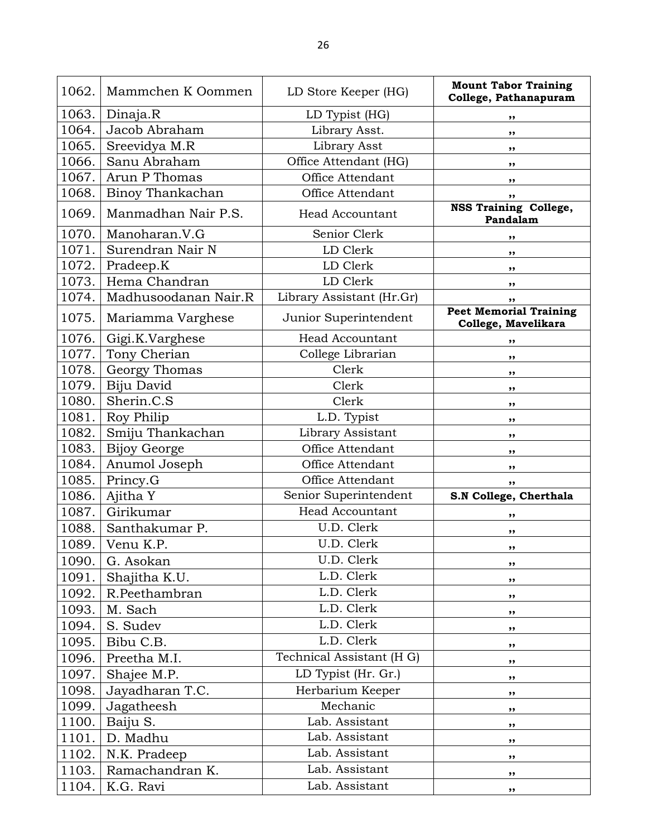| 1062. | Mammchen K Oommen    | LD Store Keeper (HG)      | <b>Mount Tabor Training</b><br>College, Pathanapuram |
|-------|----------------------|---------------------------|------------------------------------------------------|
| 1063. | Dinaja.R             | LD Typist (HG)            | ,,                                                   |
| 1064. | Jacob Abraham        | Library Asst.             | ,,                                                   |
| 1065. | Sreevidya M.R        | Library Asst              | $, \,$                                               |
| 1066. | Sanu Abraham         | Office Attendant (HG)     | ,,                                                   |
| 1067. | Arun P Thomas        | Office Attendant          | ,,                                                   |
| 1068. | Binoy Thankachan     | Office Attendant          | ,,                                                   |
| 1069. | Manmadhan Nair P.S.  | Head Accountant           | <b>NSS Training College,</b><br>Pandalam             |
| 1070. | Manoharan.V.G        | Senior Clerk              | ,,                                                   |
| 1071. | Surendran Nair N     | LD Clerk                  | ,,                                                   |
| 1072. | Pradeep.K            | LD Clerk                  | ,,                                                   |
| 1073. | Hema Chandran        | LD Clerk                  | ,,                                                   |
| 1074. | Madhusoodanan Nair.R | Library Assistant (Hr.Gr) | ,,                                                   |
| 1075. | Mariamma Varghese    | Junior Superintendent     | <b>Peet Memorial Training</b><br>College, Mavelikara |
| 1076. | Gigi.K.Varghese      | <b>Head Accountant</b>    | ,,                                                   |
| 1077. | Tony Cherian         | College Librarian         | ,,                                                   |
| 1078. | Georgy Thomas        | Clerk                     | ,,                                                   |
| 1079. | Biju David           | Clerk                     | ,,                                                   |
| 1080. | Sherin.C.S           | Clerk                     | ,,                                                   |
| 1081. | Roy Philip           | L.D. Typist               | ,,                                                   |
| 1082. | Smiju Thankachan     | Library Assistant         | ,,                                                   |
| 1083. | <b>Bijoy George</b>  | Office Attendant          | ,,                                                   |
| 1084. | Anumol Joseph        | Office Attendant          | ,,                                                   |
| 1085. | Princy.G             | Office Attendant          | ,,                                                   |
| 1086. | Ajitha Y             | Senior Superintendent     | S.N College, Cherthala                               |
| 1087. | Girikumar            | <b>Head Accountant</b>    | ,,                                                   |
| 1088. | Santhakumar P.       | U.D. Clerk                | ,,                                                   |
| 1089. | Venu K.P.            | U.D. Clerk                | ,,                                                   |
| 1090. | G. Asokan            | U.D. Clerk                | ,,                                                   |
| 1091. | Shajitha K.U.        | L.D. Clerk                | ,,                                                   |
| 1092. | R.Peethambran        | L.D. Clerk                | ,,                                                   |
| 1093. | M. Sach              | L.D. Clerk                | $, \,$                                               |
| 1094. | S. Sudev             | L.D. Clerk                | ,,                                                   |
| 1095. | Bibu C.B.            | L.D. Clerk                | ,,                                                   |
| 1096. | Preetha M.I.         | Technical Assistant (H G) | ,,                                                   |
| 1097. | Shajee M.P.          | LD Typist (Hr. Gr.)       | ,,                                                   |
| 1098. | Jayadharan T.C.      | Herbarium Keeper          | ,,                                                   |
| 1099. | Jagatheesh           | Mechanic                  | ,,                                                   |
| 1100. | Baiju S.             | Lab. Assistant            | ,,                                                   |
| 1101. | D. Madhu             | Lab. Assistant            | ,,                                                   |
| 1102. | N.K. Pradeep         | Lab. Assistant            | ,,                                                   |
| 1103. | Ramachandran K.      | Lab. Assistant            | ,,                                                   |
| 1104. | K.G. Ravi            | Lab. Assistant            | ,,                                                   |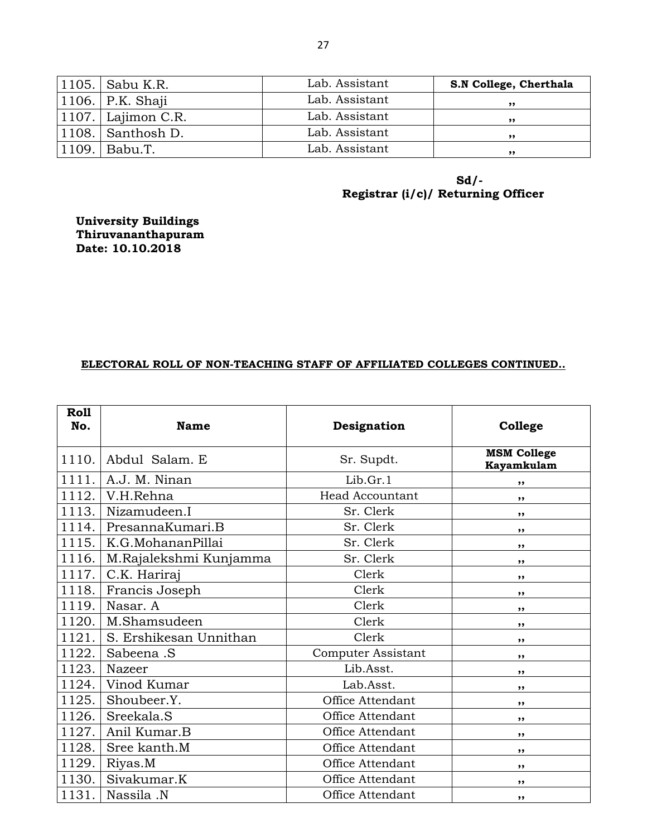| 1105.   Sabu K.R.      | Lab. Assistant | S.N College, Cherthala |
|------------------------|----------------|------------------------|
| 1106.   P.K. Shaji     | Lab. Assistant | ,,                     |
| $ 1107. $ Lajimon C.R. | Lab. Assistant | ,,                     |
| $ 1108. $ Santhosh D.  | Lab. Assistant | ,,                     |
| 1109.   Babu.T.        | Lab. Assistant | ,,                     |

**Sd/- Registrar (i/c)/ Returning Officer**

**University Buildings Thiruvananthapuram Date: 10.10.2018** 

## **ELECTORAL ROLL OF NON-TEACHING STAFF OF AFFILIATED COLLEGES CONTINUED..**

| Roll<br>No. | <b>Name</b>            | Designation               | College                          |
|-------------|------------------------|---------------------------|----------------------------------|
| 1110.       | Abdul Salam. E         | Sr. Supdt.                | <b>MSM College</b><br>Kayamkulam |
| 1111.       | A.J. M. Ninan          | Lib.Gr.1                  | ,,                               |
| 1112.       | V.H.Rehna              | <b>Head Accountant</b>    | ,,                               |
| 1113.       | Nizamudeen.I           | Sr. Clerk                 | ,,                               |
| 1114.       | PresannaKumari.B       | Sr. Clerk                 | ,,                               |
| 1115.       | K.G.MohananPillai      | Sr. Clerk                 | ,,                               |
| 1116.       | M.Rajalekshmi Kunjamma | Sr. Clerk                 | ,,                               |
| 1117.       | C.K. Hariraj           | Clerk                     | ,,                               |
| 1118.       | Francis Joseph         | Clerk                     | ,,                               |
| 1119.       | Nasar. A               | Clerk                     | ,,                               |
| 1120.       | M.Shamsudeen           | Clerk                     | ,,                               |
| 1121.       | S. Ershikesan Unnithan | Clerk                     | ,,                               |
| 1122.       | Sabeena .S             | <b>Computer Assistant</b> | ,,                               |
| 1123.       | Nazeer                 | Lib.Asst.                 | ,,                               |
| 1124.       | Vinod Kumar            | Lab.Asst.                 | ,,                               |
| 1125.       | Shoubeer.Y.            | Office Attendant          | ,,                               |
| 1126.       | Sreekala.S             | Office Attendant          | ,,                               |
| 1127.       | Anil Kumar.B           | Office Attendant          | ,,                               |
| 1128.       | Sree kanth.M           | Office Attendant          | ,,                               |
| 1129.       | Riyas.M                | Office Attendant          | ,,                               |
| 1130.       | Sivakumar.K            | Office Attendant          | ,,                               |
| 1131.       | Nassila .N             | Office Attendant          | ,,                               |